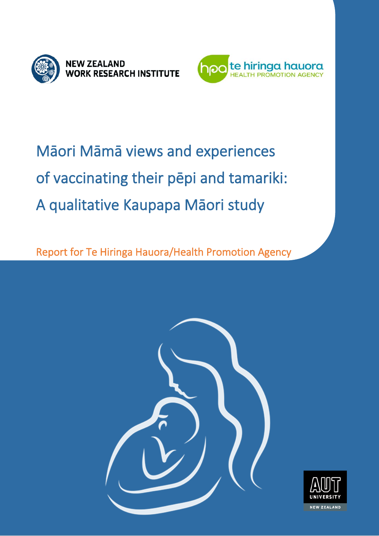



## Māori Māmā views and experiences of vaccinating their pēpi and tamariki: A qualitative Kaupapa Māori study

Report for Te Hiringa Hauora/Health Promotion Agency



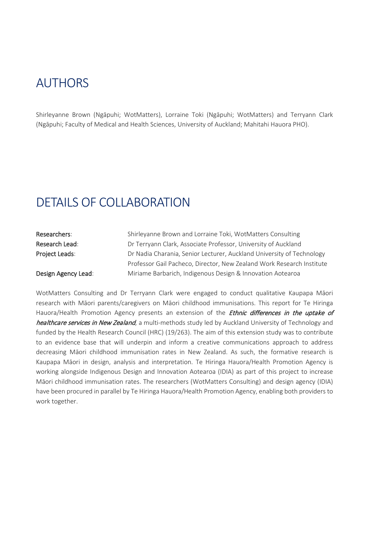### AUTHORS

Shirleyanne Brown (Ngāpuhi; WotMatters), Lorraine Toki (Ngāpuhi; WotMatters) and Terryann Clark (Ngāpuhi; Faculty of Medical and Health Sciences, University of Auckland; Mahitahi Hauora PHO).

### DETAILS OF COLLABORATION

| Researchers:        | Shirleyanne Brown and Lorraine Toki, WotMatters Consulting            |
|---------------------|-----------------------------------------------------------------------|
| Research Lead:      | Dr Terryann Clark, Associate Professor, University of Auckland        |
| Project Leads:      | Dr Nadia Charania, Senior Lecturer, Auckland University of Technology |
|                     | Professor Gail Pacheco, Director, New Zealand Work Research Institute |
| Design Agency Lead: | Miriame Barbarich, Indigenous Design & Innovation Aotearoa            |

WotMatters Consulting and Dr Terryann Clark were engaged to conduct qualitative Kaupapa Māori research with Māori parents/caregivers on Māori childhood immunisations. This report for Te Hiringa Hauora/Health Promotion Agency presents an extension of the *Ethnic differences in the uptake of* healthcare services in New Zealand, a multi-methods study led by Auckland University of Technology and funded by the Health Research Council (HRC) (19/263). The aim of this extension study was to contribute to an evidence base that will underpin and inform a creative communications approach to address decreasing Māori childhood immunisation rates in New Zealand. As such, the formative research is Kaupapa Māori in design, analysis and interpretation. Te Hiringa Hauora/Health Promotion Agency is working alongside Indigenous Design and Innovation Aotearoa (IDIA) as part of this project to increase Māori childhood immunisation rates. The researchers (WotMatters Consulting) and design agency (IDIA) have been procured in parallel by Te Hiringa Hauora/Health Promotion Agency, enabling both providers to work together.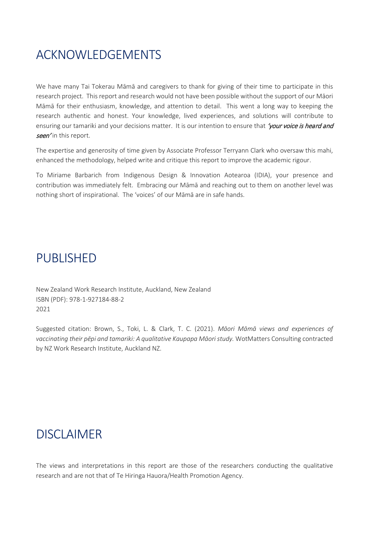### ACKNOWLEDGEMENTS

We have many Tai Tokerau Māmā and caregivers to thank for giving of their time to participate in this research project. This report and research would not have been possible without the support of our Māori Māmā for their enthusiasm, knowledge, and attention to detail. This went a long way to keeping the research authentic and honest. Your knowledge, lived experiences, and solutions will contribute to ensuring our tamariki and your decisions matter. It is our intention to ensure that 'your voice is heard and seen' in this report.

The expertise and generosity of time given by Associate Professor Terryann Clark who oversaw this mahi, enhanced the methodology, helped write and critique this report to improve the academic rigour.

To Miriame Barbarich from Indigenous Design & Innovation Aotearoa (IDIA), your presence and contribution was immediately felt. Embracing our Māmā and reaching out to them on another level was nothing short of inspirational. The 'voices' of our Māmā are in safe hands.

### PUBLISHED

New Zealand Work Research Institute, Auckland, New Zealand ISBN (PDF): 978-1-927184-88-2 2021

Suggested citation: Brown, S., Toki, L. & Clark, T. C. (2021). *Māori Māmā views and experiences of vaccinating their pēpi and tamariki: A qualitative Kaupapa Māori study.* WotMatters Consulting contracted by NZ Work Research Institute, Auckland NZ.

### DISCLAIMER

The views and interpretations in this report are those of the researchers conducting the qualitative research and are not that of Te Hiringa Hauora/Health Promotion Agency.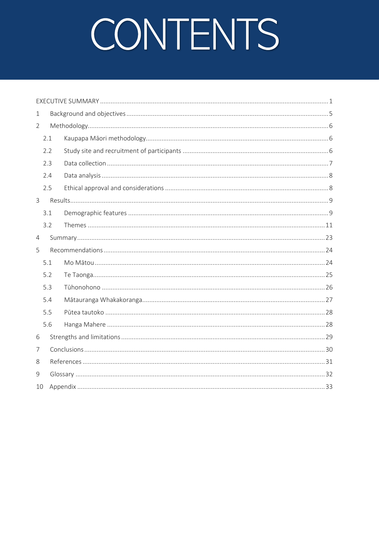# CONTENTS

| $\mathbf 1$    |     |  |
|----------------|-----|--|
| $\overline{2}$ |     |  |
|                | 2.1 |  |
|                | 2.2 |  |
|                | 2.3 |  |
|                | 2.4 |  |
|                | 2.5 |  |
| $\mathsf{3}$   |     |  |
|                | 3.1 |  |
|                | 3.2 |  |
| $\overline{4}$ |     |  |
| 5              |     |  |
|                | 5.1 |  |
|                | 5.2 |  |
|                | 5.3 |  |
|                | 5.4 |  |
|                | 5.5 |  |
|                | 5.6 |  |
| 6              |     |  |
| 7              |     |  |
| 8              |     |  |
| 9              |     |  |
| 10             |     |  |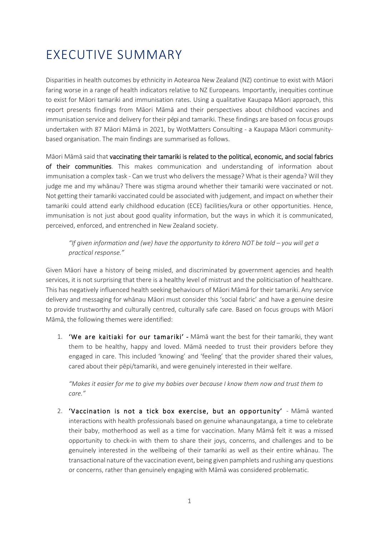### <span id="page-4-0"></span>EXECUTIVE SUMMARY

Disparities in health outcomes by ethnicity in Aotearoa New Zealand (NZ) continue to exist with Māori faring worse in a range of health indicators relative to NZ Europeans. Importantly, inequities continue to exist for Māori tamariki and immunisation rates. Using a qualitative Kaupapa Māori approach, this report presents findings from Māori Māmā and their perspectives about childhood vaccines and immunisation service and delivery for their pēpi and tamariki. These findings are based on focus groups undertaken with 87 Māori Māmā in 2021, by WotMatters Consulting - a Kaupapa Māori communitybased organisation. The main findings are summarised as follows.

Māori Māmā said that vaccinating their tamariki is related to the political, economic, and social fabrics of their communities. This makes communication and understanding of information about immunisation a complex task - Can we trust who delivers the message? What is their agenda? Will they judge me and my whānau? There was stigma around whether their tamariki were vaccinated or not. Not getting their tamariki vaccinated could be associated with judgement, and impact on whether their tamariki could attend early childhood education (ECE) facilities/kura or other opportunities. Hence, immunisation is not just about good quality information, but the ways in which it is communicated, perceived, enforced, and entrenched in New Zealand society.

#### *"If given information and (we) have the opportunity to kōrero NOT be told – you will get a practical response."*

Given Māori have a history of being misled, and discriminated by government agencies and health services, it is not surprising that there is a healthy level of mistrust and the politicisation of healthcare. This has negatively influenced health seeking behaviours of Māori Māmā for their tamariki. Any service delivery and messaging for whānau Māori must consider this 'social fabric' and have a genuine desire to provide trustworthy and culturally centred, culturally safe care. Based on focus groups with Māori Māmā, the following themes were identified:

1. 'We are kaitiaki for our tamariki' - Māmā want the best for their tamariki, they want them to be healthy, happy and loved. Māmā needed to trust their providers before they engaged in care. This included 'knowing' and 'feeling' that the provider shared their values, cared about their pēpi/tamariki, and were genuinely interested in their welfare.

*"Makes it easier for me to give my babies over because I know them now and trust them to care."*

2. 'Vaccination is not a tick box exercise, but an opportunity' - Māmā wanted interactions with health professionals based on genuine whanaungatanga, a time to celebrate their baby, motherhood as well as a time for vaccination. Many Māmā felt it was a missed opportunity to check-in with them to share their joys, concerns, and challenges and to be genuinely interested in the wellbeing of their tamariki as well as their entire whānau. The transactional nature of the vaccination event, being given pamphlets and rushing any questions or concerns, rather than genuinely engaging with Māmā was considered problematic.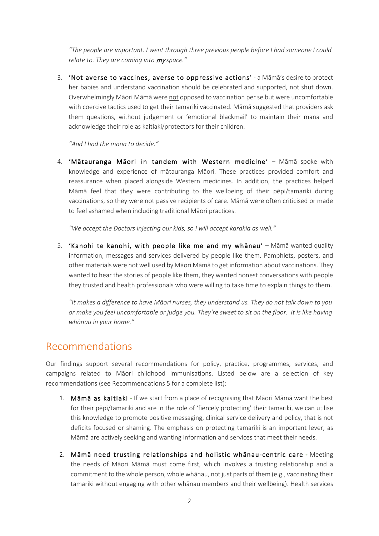*"The people are important. I went through three previous people before I had someone I could relate to. They are coming into* my *space."*

3. 'Not averse to vaccines, averse to oppressive actions' - a Māmā's desire to protect her babies and understand vaccination should be celebrated and supported, not shut down. Overwhelmingly Māori Māmā were not opposed to vaccination per se but were uncomfortable with coercive tactics used to get their tamariki vaccinated. Māmā suggested that providers ask them questions, without judgement or 'emotional blackmail' to maintain their mana and acknowledge their role as kaitiaki/protectors for their children.

*"And I had the mana to decide."* 

4. 'Mātauranga Māori in tandem with Western medicine' – Māmā spoke with knowledge and experience of mātauranga Māori. These practices provided comfort and reassurance when placed alongside Western medicines. In addition, the practices helped Māmā feel that they were contributing to the wellbeing of their pēpi/tamariki during vaccinations, so they were not passive recipients of care. Māmā were often criticised or made to feel ashamed when including traditional Māori practices.

*"We accept the Doctors injecting our kids, so I will accept karakia as well."*

5. 'Kanohi te kanohi, with people like me and my whānau' – Māmā wanted quality information, messages and services delivered by people like them. Pamphlets, posters, and other materials were not well used by Māori Māmā to get information about vaccinations. They wanted to hear the stories of people like them, they wanted honest conversations with people they trusted and health professionals who were willing to take time to explain things to them.

*"It makes a difference to have Māori nurses, they understand us. They do not talk down to you or make you feel uncomfortable or judge you. They're sweet to sit on the floor. It is like having whānau in your home."*

### Recommendations

Our findings support several recommendations for policy, practice, programmes, services, and campaigns related to Māori childhood immunisations. Listed below are a selection of key recommendations (see [Recommendations](#page-27-0) [5](#page-27-0) for a complete list):

- 1. Māmā as kaitiaki If we start from a place of recognising that Māori Māmā want the best for their pēpi/tamariki and are in the role of 'fiercely protecting' their tamariki, we can utilise this knowledge to promote positive messaging, clinical service delivery and policy, that is not deficits focused or shaming. The emphasis on protecting tamariki is an important lever, as Māmā are actively seeking and wanting information and services that meet their needs.
- 2. Māmā need trusting relationships and holistic whānau-centric care **-** Meeting the needs of Māori Māmā must come first, which involves a trusting relationship and a commitment to the whole person, whole whānau, not just parts of them (e.g., vaccinating their tamariki without engaging with other whānau members and their wellbeing). Health services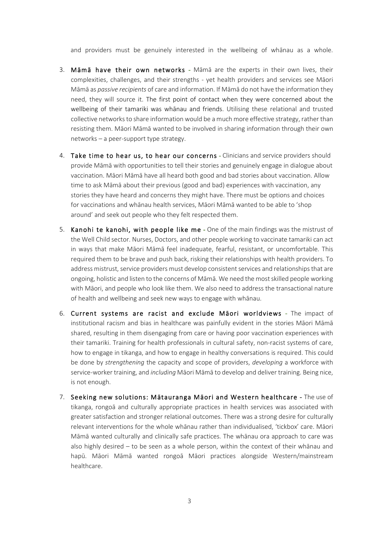and providers must be genuinely interested in the wellbeing of whānau as a whole.

- 3. Māmā have their own networks Māmā are the experts in their own lives, their complexities, challenges, and their strengths - yet health providers and services see Māori Māmā as *passive recipients* of care and information. If Māmā do not have the information they need, they will source it. The first point of contact when they were concerned about the wellbeing of their tamariki was whānau and friends. Utilising these relational and trusted collective networks to share information would be a much more effective strategy, rather than resisting them. Māori Māmā wanted to be involved in sharing information through their own networks – a peer-support type strategy.
- 4. Take time to hear us, to hear our concerns Clinicians and service providers should provide Māmā with opportunities to tell their stories and genuinely engage in dialogue about vaccination. Māori Māmā have all heard both good and bad stories about vaccination. Allow time to ask Māmā about their previous (good and bad) experiences with vaccination, any stories they have heard and concerns they might have. There must be options and choices for vaccinations and whānau health services, Māori Māmā wanted to be able to 'shop around' and seek out people who they felt respected them.
- 5. Kanohi te kanohi, with people like me One of the main findings was the mistrust of the Well Child sector. Nurses, Doctors, and other people working to vaccinate tamariki can act in ways that make Māori Māmā feel inadequate, fearful, resistant, or uncomfortable. This required them to be brave and push back, risking their relationships with health providers. To address mistrust, service providers must develop consistent services and relationships that are ongoing, holistic and listen to the concerns of Māmā. We need the most skilled people working with Māori, and people who look like them. We also need to address the transactional nature of health and wellbeing and seek new ways to engage with whānau.
- 6. Current systems are racist and exclude Māori worldviews The impact of institutional racism and bias in healthcare was painfully evident in the stories Māori Māmā shared, resulting in them disengaging from care or having poor vaccination experiences with their tamariki. Training for health professionals in cultural safety, non-racist systems of care, how to engage in tikanga, and how to engage in healthy conversations is required. This could be done by *strengthening* the capacity and scope of providers, *developing* a workforce with service-worker training, and *including* Māori Māmā to develop and deliver training. Being nice, is not enough.
- 7. Seeking new solutions: Mātauranga Māori and Western healthcare The use of tikanga, rongoā and culturally appropriate practices in health services was associated with greater satisfaction and stronger relational outcomes. There was a strong desire for culturally relevant interventions for the whole whānau rather than individualised, 'tickbox' care. Māori Māmā wanted culturally and clinically safe practices. The whānau ora approach to care was also highly desired – to be seen as a whole person, within the context of their whānau and hapū. Māori Māmā wanted rongoā Māori practices alongside Western/mainstream healthcare.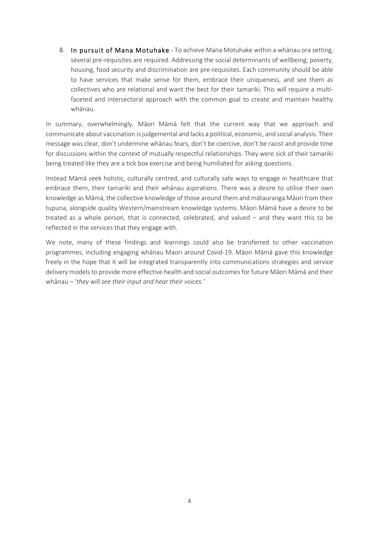8. In pursuit of Mana Motuhake - To achieve Mana Motuhake within a whānau ora setting, several pre-requisites are required. Addressing the social determinants of wellbeing, poverty, housing, food security and discrimination are pre-requisites. Each community should be able to have services that make sense for them, embrace their uniqueness, and see them as collectives who are relational and want the best for their tamariki. This will require a multifaceted and intersectoral approach with the common goal to create and maintain healthy whānau.

In summary, overwhelmingly, Māori Māmā felt that the current way that we approach and communicate about vaccination is judgemental and lacks a political, economic, and social analysis. Their message was clear, don't undermine whānau fears, don't be coercive, don't be racist and provide time for discussions within the context of mutually respectful relationships. They were sick of their tamariki being treated like they are a tick box exercise and being humiliated for asking questions.

Instead Māmā seek holistic, culturally centred, and culturally safe ways to engage in healthcare that embrace them, their tamariki and their whānau aspirations. There was a desire to utilise their own knowledge as Māmā, the collective knowledge of those around them and mātauranga Māori from their tupuna, alongside quality Western/mainstream knowledge systems. Māori Māmā have a desire to be treated as a whole person, that is connected, celebrated, and valued – and they want this to be reflected in the services that they engage with.

We note, many of these findings and learnings could also be transferred to other vaccination programmes, including engaging whānau Maori around Covid-19. Māori Māmā gave this knowledge freely in the hope that it will be integrated transparently into communications strategies and service delivery models to provide more effective health and social outcomes for future Māori Māmā and their whānau – '*they will see their input and hear their voices.'*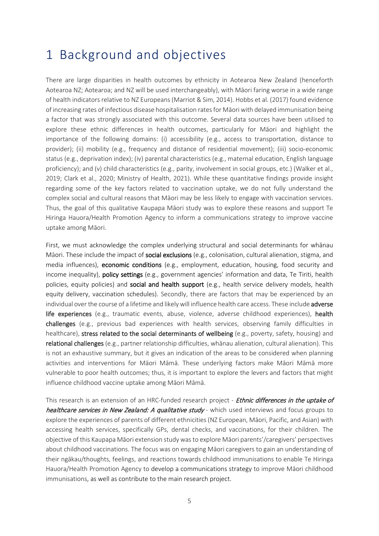### <span id="page-8-0"></span>1 Background and objectives

There are large disparities in health outcomes by ethnicity in Aotearoa New Zealand (henceforth Aotearoa NZ; Aotearoa; and NZ will be used interchangeably), with Māori faring worse in a wide range of health indicators relative to NZ Europeans (Marriot & Sim, 2014). Hobbs et al. (2017) found evidence of increasing rates of infectious disease hospitalisation rates for Māori with delayed immunisation being a factor that was strongly associated with this outcome. Several data sources have been utilised to explore these ethnic differences in health outcomes, particularly for Māori and highlight the importance of the following domains: (i) accessibility (e.g., access to transportation, distance to provider); (ii) mobility (e.g., frequency and distance of residential movement); (iii) socio-economic status (e.g., deprivation index); (iv) parental characteristics (e.g., maternal education, English language proficiency); and (v) child characteristics (e.g., parity, involvement in social groups, etc.) (Walker et al., 2019; Clark et al., 2020; Ministry of Health, 2021). While these quantitative findings provide insight regarding some of the key factors related to vaccination uptake, we do not fully understand the complex social and cultural reasons that Māori may be less likely to engage with vaccination services. Thus, the goal of this qualitative Kaupapa Māori study was to explore these reasons and support Te Hiringa Hauora/Health Promotion Agency to inform a communications strategy to improve vaccine uptake among Māori.

First, we must acknowledge the complex underlying structural and social determinants for whānau Māori. These include the impact of **social exclusions** (e.g., colonisation, cultural alienation, stigma, and media influences), economic conditions (e.g., employment, education, housing, food security and income inequality), policy settings (e.g., government agencies' information and data, Te Tiriti, health policies, equity policies) and social and health support (e.g., health service delivery models, health equity delivery, vaccination schedules). Secondly, there are factors that may be experienced by an individual over the course of a lifetime and likely will influence health care access. These include adverse life experiences (e.g., traumatic events, abuse, violence, adverse childhood experiences), health challenges (e.g., previous bad experiences with health services, observing family difficulties in healthcare), stress related to the social determinants of wellbeing (e.g., poverty, safety, housing) and relational challenges (e.g., partner relationship difficulties, whānau alienation, cultural alienation). This is not an exhaustive summary, but it gives an indication of the areas to be considered when planning activities and interventions for Māori Māmā. These underlying factors make Māori Māmā more vulnerable to poor health outcomes; thus, it is important to explore the levers and factors that might influence childhood vaccine uptake among Māori Māmā.

This research is an extension of an HRC-funded research project - Ethnic differences in the uptake of healthcare services in New Zealand: A qualitative study - which used interviews and focus groups to explore the experiences of parents of different ethnicities (NZ European, Māori, Pacific, and Asian) with accessing health services, specifically GPs, dental checks, and vaccinations, for their children. The objective of this Kaupapa Māori extension study was to explore Māori parents'/caregivers' perspectives about childhood vaccinations. The focus was on engaging Māori caregivers to gain an understanding of their ngākau/thoughts, feelings, and reactions towards childhood immunisations to enable Te Hiringa Hauora/Health Promotion Agency to develop a communications strategy to improve Māori childhood immunisations, as well as contribute to the main research project.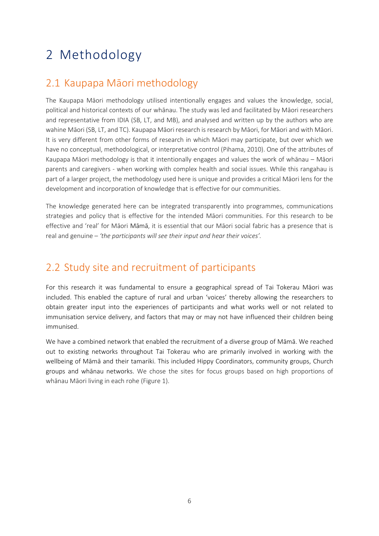### <span id="page-9-0"></span>2 Methodology

### <span id="page-9-1"></span>2.1 Kaupapa Māori methodology

The Kaupapa Māori methodology utilised intentionally engages and values the knowledge, social, political and historical contexts of our whānau. The study was led and facilitated by Māori researchers and representative from IDIA (SB, LT, and MB), and analysed and written up by the authors who are wahine Māori (SB, LT, and TC). Kaupapa Māori research is research by Māori, for Māori and with Māori. It is very different from other forms of research in which Māori may participate, but over which we have no conceptual, methodological, or interpretative control (Pihama, 2010). One of the attributes of Kaupapa Māori methodology is that it intentionally engages and values the work of whānau – Māori parents and caregivers - when working with complex health and social issues. While this rangahau is part of a larger project, the methodology used here is unique and provides a critical Māori lens for the development and incorporation of knowledge that is effective for our communities.

The knowledge generated here can be integrated transparently into programmes, communications strategies and policy that is effective for the intended Māori communities. For this research to be effective and 'real' for Māori Māmā, it is essential that our Māori social fabric has a presence that is real and genuine – *'the participants will see their input and hear their voices'.*

### <span id="page-9-2"></span>2.2 Study site and recruitment of participants

For this research it was fundamental to ensure a geographical spread of Tai Tokerau Māori was included. This enabled the capture of rural and urban 'voices' thereby allowing the researchers to obtain greater input into the experiences of participants and what works well or not related to immunisation service delivery, and factors that may or may not have influenced their children being immunised.

We have a combined network that enabled the recruitment of a diverse group of Māmā. We reached out to existing networks throughout Tai Tokerau who are primarily involved in working with the wellbeing of Māmā and their tamariki. This included Hippy Coordinators, community groups, Church groups and whānau networks. We chose the sites for focus groups based on high proportions of whānau Māori living in each rohe [\(Figure 1](#page-10-1)).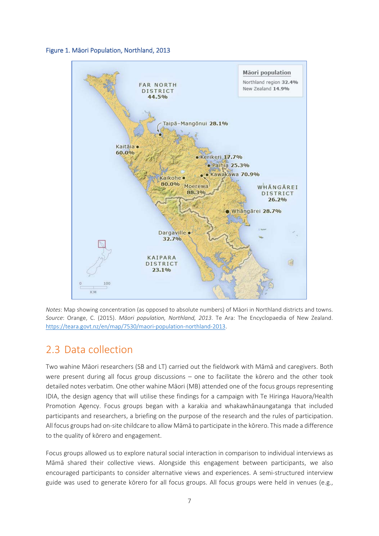<span id="page-10-1"></span>



*Notes*: Map showing concentration (as opposed to absolute numbers) of Māori in Northland districts and towns. *Source*: Orange, C. (2015). *Māori population, Northland, 2013*. Te Ara: The Encyclopaedia of New Zealand. [https://teara.govt.nz/en/map/7530/maori](https://teara.govt.nz/en/map/7530/maori-population-northland-2013)-population-northland-2013.

### <span id="page-10-0"></span>2.3 Data collection

Two wahine Māori researchers (SB and LT) carried out the fieldwork with Māmā and caregivers. Both were present during all focus group discussions – one to facilitate the kōrero and the other took detailed notes verbatim. One other wahine Māori (MB) attended one of the focus groups representing IDIA, the design agency that will utilise these findings for a campaign with Te Hiringa Hauora/Health Promotion Agency. Focus groups began with a karakia and whakawhānaungatanga that included participants and researchers, a briefing on the purpose of the research and the rules of participation. All focus groups had on-site childcare to allow Māmā to participate in the kōrero. This made a difference to the quality of kōrero and engagement.

Focus groups allowed us to explore natural social interaction in comparison to individual interviews as Māmā shared their collective views. Alongside this engagement between participants, we also encouraged participants to consider alternative views and experiences. A semi-structured interview guide was used to generate kōrero for all focus groups. All focus groups were held in venues (e.g.,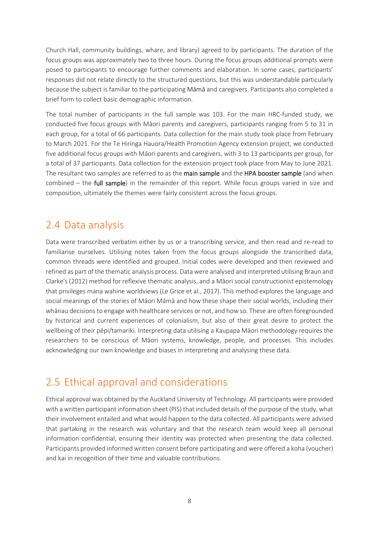Church Hall, community buildings, whare, and library) agreed to by participants. The duration of the focus groups was approximately two to three hours. During the focus groups additional prompts were posed to participants to encourage further comments and elaboration. In some cases, participants' responses did not relate directly to the structured questions, but this was understandable particularly because the subject is familiar to the participating Māmā and caregivers. Participants also completed a brief form to collect basic demographic information.

The total number of participants in the full sample was 103. For the main HRC-funded study, we conducted five focus groups with Māori parents and caregivers, participants ranging from 5 to 31 in each group, for a total of 66 participants. Data collection for the main study took place from February to March 2021. For the Te Hiringa Hauora/Health Promotion Agency extension project, we conducted five additional focus groups with Māori parents and caregivers, with 3 to 13 participants per group, for a total of 37 participants. Data collection for the extension project took place from May to June 2021. The resultant two samples are referred to as the main sample and the HPA booster sample (and when combined – the full sample) in the remainder of this report. While focus groups varied in size and composition, ultimately the themes were fairly consistent across the focus groups.

### <span id="page-11-0"></span>2.4 Data analysis

Data were transcribed verbatim either by us or a transcribing service, and then read and re-read to familiarise ourselves. Utilising notes taken from the focus groups alongside the transcribed data, common threads were identified and grouped. Initial codes were developed and then reviewed and refined as part of the thematic analysis process. Data were analysed and interpreted utilising Braun and Clarke's (2012) method for reflexive thematic analysis, and a Māori social constructionist epistemology that privileges mana wahine worldviews (Le Grice et al., 2017). This method explores the language and social meanings of the stories of Māori Māmā and how these shape their social worlds, including their whānau decisions to engage with healthcare services or not, and how so. These are often foregrounded by historical and current experiences of colonialism, but also of their great desire to protect the wellbeing of their pēpi/tamariki. Interpreting data utilising a Kaupapa Māori methodology requires the researchers to be conscious of Māori systems, knowledge, people, and processes. This includes acknowledging our own knowledge and biases in interpreting and analysing these data.

### <span id="page-11-1"></span>2.5 Ethical approval and considerations

Ethical approval was obtained by the Auckland University of Technology. All participants were provided with a written participant information sheet (PIS) that included details of the purpose of the study, what their involvement entailed and what would happen to the data collected. All participants were advised that partaking in the research was voluntary and that the research team would keep all personal information confidential, ensuring their identity was protected when presenting the data collected. Participants provided informed written consent before participating and were offered a koha (voucher) and kai in recognition of their time and valuable contributions.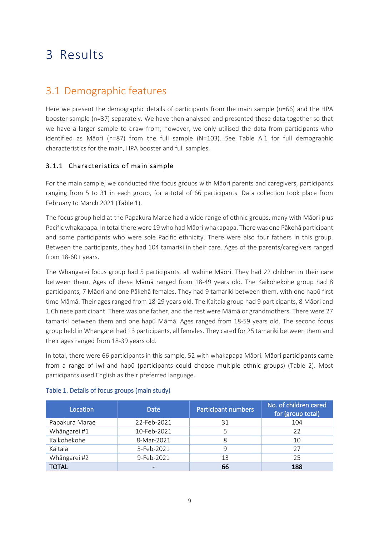### <span id="page-12-0"></span>3 Results

### <span id="page-12-1"></span>3.1 Demographic features

Here we present the demographic details of participants from the main sample (n=66) and the HPA booster sample (n=37) separately. We have then analysed and presented these data together so that we have a larger sample to draw from; however, we only utilised the data from participants who identified as Māori (n=87) from the full sample (N=103). See Table A.1 for full demographic characteristics for the main, HPA booster and full samples.

#### 3.1.1 Characteristics of main sample

For the main sample, we conducted five focus groups with Māori parents and caregivers, participants ranging from 5 to 31 in each group, for a total of 66 participants. Data collection took place from February to March 2021 [\(Table 1](#page-12-2)).

The focus group held at the Papakura Marae had a wide range of ethnic groups, many with Māori plus Pacific whakapapa. In total there were 19 who had Māori whakapapa. There was one Pākehā participant and some participants who were sole Pacific ethnicity. There were also four fathers in this group. Between the participants, they had 104 tamariki in their care. Ages of the parents/caregivers ranged from 18-60+ years.

The Whangarei focus group had 5 participants, all wahine Māori. They had 22 children in their care between them. Ages of these Māmā ranged from 18-49 years old. The Kaikohekohe group had 8 participants, 7 Māori and one Pākehā females. They had 9 tamariki between them, with one hapū first time Māmā. Their ages ranged from 18-29 years old. The Kaitaia group had 9 participants, 8 Māori and 1 Chinese participant. There was one father, and the rest were Māmā or grandmothers. There were 27 tamariki between them and one hapū Māmā. Ages ranged from 18-59 years old. The second focus group held in Whangarei had 13 participants, all females. They cared for 25 tamariki between them and their ages ranged from 18-39 years old.

In total, there were 66 participants in this sample, 52 with whakapapa Māori. Māori participants came from a range of iwi and hapū (participants could choose multiple ethnic groups) [\(Table 2](#page-13-0)). Most participants used English as their preferred language.

| Location       | <b>Date</b> | Participant numbers | No. of children cared<br>for (group total) |
|----------------|-------------|---------------------|--------------------------------------------|
| Papakura Marae | 22-Feb-2021 | 31                  | 104                                        |
| Whāngarei #1   | 10-Feb-2021 |                     | 22                                         |
| Kaikohekohe    | 8-Mar-2021  | 8                   | 10                                         |
| Kaitaia        | 3-Feb-2021  | 9                   | 27                                         |
| Whāngarei #2   | 9-Feb-2021  | 13                  | 25                                         |
| TOTAL          |             | 66                  | 188                                        |

#### <span id="page-12-2"></span>Table 1. Details of focus groups (main study)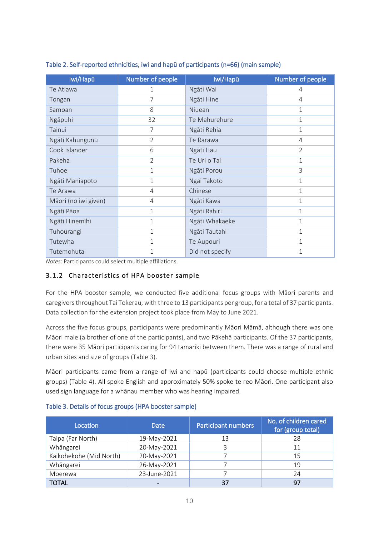| Iwi/Hapū             | Number of people | Iwi/Hapū        | Number of people |
|----------------------|------------------|-----------------|------------------|
| Te Atiawa            | $\mathbf{1}$     | Ngāti Wai       | 4                |
| Tongan               | $\overline{7}$   | Ngāti Hine      | 4                |
| Samoan               | 8                | Niuean          | $\mathbf 1$      |
| Ngāpuhi              | 32               | Te Mahurehure   | $\mathbf 1$      |
| Tainui               | 7                | Ngāti Rehia     | $\mathbf{1}$     |
| Ngāti Kahungunu      | $\overline{2}$   | Te Rarawa       | 4                |
| Cook Islander        | 6                | Ngāti Hau       | $\overline{2}$   |
| Pakeha               | $\overline{2}$   | Te Uri o Tai    | $\mathbf 1$      |
| Tuhoe                | 1                | Ngāti Porou     | 3                |
| Ngāti Maniapoto      | $\mathbf 1$      | Ngai Takoto     | $\mathbf{1}$     |
| Te Arawa             | $\overline{4}$   | Chinese         | $\mathbf{1}$     |
| Māori (no iwi given) | 4                | Ngāti Kawa      | $\mathbf 1$      |
| Ngāti Pāoa           | $\mathbf 1$      | Ngāti Rahiri    | 1                |
| Ngāti Hinemihi       | $\mathbf{1}$     | Ngāti Whakaeke  | 1                |
| Tuhourangi           | 1                | Ngāti Tautahi   | 1                |
| Tutewha              | $\mathbf{1}$     | Te Aupouri      | 1                |
| Tutemohuta           | 1                | Did not specify | 1                |

#### <span id="page-13-0"></span>Table 2. Self-reported ethnicities, iwi and hapū of participants (n=66) (main sample)

*Notes*: Participants could select multiple affiliations.

#### 3.1.2 Characteristics of HPA booster sample

For the HPA booster sample, we conducted five additional focus groups with Māori parents and caregivers throughout Tai Tokerau, with three to 13 participants per group, for a total of 37 participants. Data collection for the extension project took place from May to June 2021.

Across the five focus groups, participants were predominantly Māori Māmā, although there was one Māori male (a brother of one of the participants), and two Pākehā participants. Of the 37 participants, there were 35 Māori participants caring for 94 tamariki between them. There was a range of rural and urban sites and size of groups [\(Table 3](#page-13-1)).

Māori participants came from a range of iwi and hapū (participants could choose multiple ethnic groups) [\(Table 4\)](#page-14-1). All spoke English and approximately 50% spoke te reo Māori. One participant also used sign language for a whānau member who was hearing impaired.

| Location                | <b>Date</b>  | Participant numbers | No. of children cared<br>for (group total) |
|-------------------------|--------------|---------------------|--------------------------------------------|
| Taipa (Far North)       | 19-May-2021  | 13                  | 28                                         |
| Whāngarei               | 20-May-2021  | 3                   | 11                                         |
| Kaikohekohe (Mid North) | 20-May-2021  |                     | 15                                         |
| Whāngarei               | 26-May-2021  |                     | 19                                         |
| Moerewa                 | 23-June-2021 |                     | 24                                         |
| <b>TOTAL</b>            |              | 37                  | 97                                         |

#### <span id="page-13-1"></span>Table 3. Details of focus groups (HPA booster sample)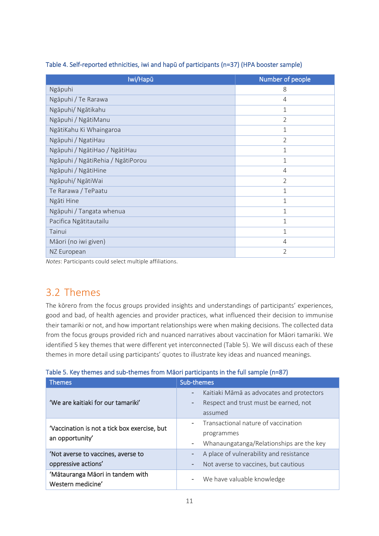| Iwi/Hapū                          | Number of people |
|-----------------------------------|------------------|
| Ngāpuhi                           | 8                |
| Ngāpuhi / Te Rarawa               | 4                |
| Ngāpuhi/ Ngātikahu                | $\mathbf 1$      |
| Ngāpuhi / NgātiManu               | $\overline{2}$   |
| NgātiKahu Ki Whaingaroa           | 1                |
| Ngāpuhi / NgatiHau                | $\overline{2}$   |
| Ngāpuhi / NgātiHao / NgātiHau     | $\mathbf 1$      |
| Ngāpuhi / NgātiRehia / NgātiPorou | $\mathbf 1$      |
| Ngāpuhi / NgātiHine               | 4                |
| Ngāpuhi/ NgātiWai                 | $\overline{2}$   |
| Te Rarawa / TePaatu               | $\mathbf{1}$     |
| Ngāti Hine                        | $\mathbf{1}$     |
| Ngāpuhi / Tangata whenua          | $\mathbf{1}$     |
| Pacifica Ngātitautailu            | $\mathbf 1$      |
| Tainui                            | $\mathbf 1$      |
| Māori (no iwi given)              | 4                |
| NZ European                       | $\overline{2}$   |

#### <span id="page-14-1"></span>Table 4. Self-reported ethnicities, iwi and hapū of participants (n=37) (HPA booster sample)

<span id="page-14-0"></span>*Notes*: Participants could select multiple affiliations.

### 3.2 Themes

The kōrero from the focus groups provided insights and understandings of participants' experiences, good and bad, of health agencies and provider practices, what influenced their decision to immunise their tamariki or not, and how important relationships were when making decisions. The collected data from the focus groups provided rich and nuanced narratives about vaccination for Māori tamariki. We identified 5 key themes that were different yet interconnected [\(Table 5](#page-14-2)). We will discuss each of these themes in more detail using participants' quotes to illustrate key ideas and nuanced meanings.

<span id="page-14-2"></span>

|  |  | Table 5. Key themes and sub-themes from Māori participants in the full sample (n=87) |  |
|--|--|--------------------------------------------------------------------------------------|--|
|  |  |                                                                                      |  |

| <b>Themes</b>                                                   | Sub-themes                                                                                                                     |
|-----------------------------------------------------------------|--------------------------------------------------------------------------------------------------------------------------------|
| 'We are kaitiaki for our tamariki'                              | Kaitiaki Māmā as advocates and protectors<br>$\qquad \qquad -$<br>Respect and trust must be earned, not<br>-<br>assumed        |
| 'Vaccination is not a tick box exercise, but<br>an opportunity' | Transactional nature of vaccination<br>$\overline{\phantom{a}}$<br>programmes<br>Whanaungatanga/Relationships are the key<br>- |
| 'Not averse to vaccines, averse to<br>oppressive actions'       | A place of vulnerability and resistance<br>-<br>Not averse to vaccines, but cautious<br>-                                      |
| 'Mātauranga Māori in tandem with<br>Western medicine'           | We have valuable knowledge<br>$\overline{\phantom{a}}$                                                                         |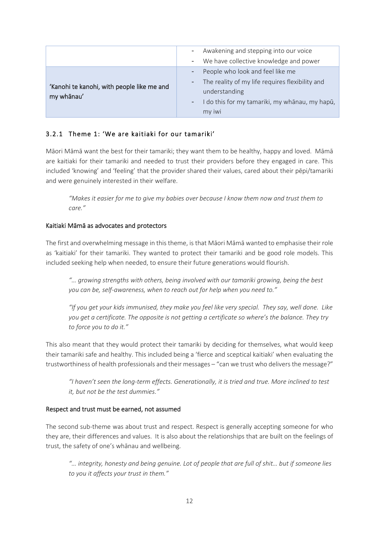|                                                          | Awakening and stepping into our voice<br>$\sim$<br>- We have collective knowledge and power                                                                                                                                            |
|----------------------------------------------------------|----------------------------------------------------------------------------------------------------------------------------------------------------------------------------------------------------------------------------------------|
| 'Kanohi te kanohi, with people like me and<br>my whānau' | People who look and feel like me<br>$\overline{\phantom{a}}$<br>The reality of my life requires flexibility and<br>$\sim 100$<br>understanding<br>I do this for my tamariki, my whānau, my hapū,<br>$\overline{\phantom{a}}$<br>my iwi |

#### 3.2.1 Theme 1: 'We are kaitiaki for our tamariki'

Māori Māmā want the best for their tamariki; they want them to be healthy, happy and loved. Māmā are kaitiaki for their tamariki and needed to trust their providers before they engaged in care. This included 'knowing' and 'feeling' that the provider shared their values, cared about their pēpi/tamariki and were genuinely interested in their welfare.

*"Makes it easier for me to give my babies over because I know them now and trust them to care."*

#### Kaitiaki Māmā as advocates and protectors

The first and overwhelming message in this theme, is that Māori Māmā wanted to emphasise their role as 'kaitiaki' for their tamariki. They wanted to protect their tamariki and be good role models. This included seeking help when needed, to ensure their future generations would flourish.

*"… growing strengths with others, being involved with our tamariki growing, being the best you can be, self-awareness, when to reach out for help when you need to."*

*"If you get your kids immunised, they make you feel like very special. They say, well done. Like you get a certificate. The opposite is not getting a certificate so where's the balance. They try to force you to do it."*

This also meant that they would protect their tamariki by deciding for themselves, what would keep their tamariki safe and healthy. This included being a 'fierce and sceptical kaitiaki' when evaluating the trustworthiness of health professionals and their messages – "can we trust who delivers the message?"

*"I haven't seen the long-term effects. Generationally, it is tried and true. More inclined to test it, but not be the test dummies."*

#### Respect and trust must be earned, not assumed

The second sub-theme was about trust and respect. Respect is generally accepting someone for who they are, their differences and values. It is also about the relationships that are built on the feelings of trust, the safety of one's whānau and wellbeing.

*"… integrity, honesty and being genuine. Lot of people that are full of shit… but if someone lies to you it affects your trust in them."*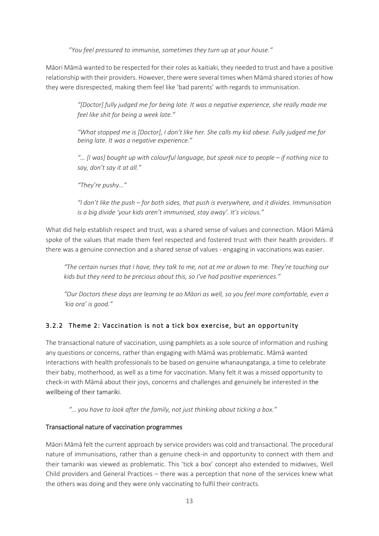*"You feel pressured to immunise, sometimes they turn up at your house."*

Māori Māmā wanted to be respected for their roles as kaitiaki, they needed to trust and have a positive relationship with their providers. However, there were several times when Māmā shared stories of how they were disrespected, making them feel like 'bad parents' with regards to immunisation.

> *"[Doctor] fully judged me for being late. It was a negative experience, she really made me feel like shit for being a week late."*

> *"What stopped me is [Doctor], I don't like her. She calls my kid obese. Fully judged me for being late. It was a negative experience."*

> *"... [I was] bought up with colourful language, but speak nice to people – if nothing nice to say, don't say it at all."*

*"They're pushy…"*

*"I don't like the push – for both sides, that push is everywhere, and it divides. Immunisation is a big divide 'your kids aren't immunised, stay away'. It's vicious."*

What did help establish respect and trust, was a shared sense of values and connection. Māori Māmā spoke of the values that made them feel respected and fostered trust with their health providers. If there was a genuine connection and a shared sense of values - engaging in vaccinations was easier.

*"The certain nurses that I have, they talk to me, not at me or down to me. They're touching our kids but they need to be precious about this, so I've had positive experiences."*

*"Our Doctors these days are learning te ao Māori as well, so you feel more comfortable, even a 'kia ora' is good."*

#### 3.2.2 Theme 2: Vaccination is not a tick box exercise, but an opportunity

The transactional nature of vaccination, using pamphlets as a sole source of information and rushing any questions or concerns, rather than engaging with Māmā was problematic. Māmā wanted interactions with health professionals to be based on genuine whanaungatanga, a time to celebrate their baby, motherhood, as well as a time for vaccination. Many felt it was a missed opportunity to check-in with Māmā about their joys, concerns and challenges and genuinely be interested in the wellbeing of their tamariki.

*"… you have to look after the family, not just thinking about ticking a box."*

#### Transactional nature of vaccination programmes

Māori Māmā felt the current approach by service providers was cold and transactional. The procedural nature of immunisations, rather than a genuine check-in and opportunity to connect with them and their tamariki was viewed as problematic. This 'tick a box' concept also extended to midwives, Well Child providers and General Practices – there was a perception that none of the services knew what the others was doing and they were only vaccinating to fulfil their contracts.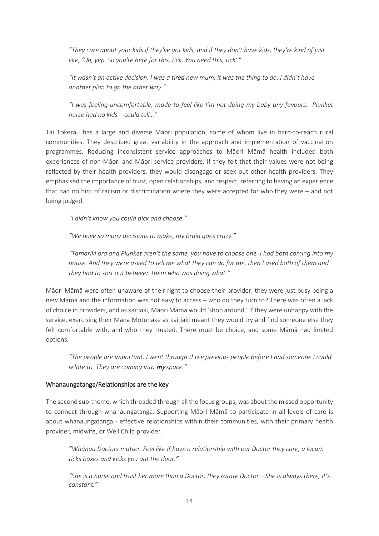*"They care about your kids if they've got kids, and if they don't have kids, they're kind of just like, 'Oh, yep. So you're here for this, tick. You need this, tick'.*"

*"It wasn't an active decision, I was a tired new mum, it was the thing to do. I didn't have another plan to go the other way."*

*"I was feeling uncomfortable, made to feel like I'm not doing my baby any favours. Plunket nurse had no kids – could tell…"*

Tai Tokerau has a large and diverse Māori population, some of whom live in hard-to-reach rural communities. They described great variability in the approach and implementation of vaccination programmes. Reducing inconsistent service approaches to Māori Māmā health included both experiences of non-Māori and Māori service providers. If they felt that their values were not being reflected by their health providers, they would disengage or seek out other health providers. They emphasised the importance of trust, open relationships, and respect, referring to having an experience that had no hint of racism or discrimination where they were accepted for who they were – and not being judged.

*"I didn't know you could pick and choose."*

*"We have so many decisions to make, my brain goes crazy."*

*"Tamariki ora and Plunket aren't the same, you have to choose one. I had both coming into my house. And they were asked to tell me what they can do for me, then I used both of them and they had to sort out between them who was doing what."*

Māori Māmā were often unaware of their right to choose their provider, they were just busy being a new Māmā and the information was not easy to access – who do they turn to? There was often a lack of choice in providers, and as kaitiaki, Māori Māmā would 'shop around.' If they were unhappy with the service, exercising their Mana Motuhake as kaitiaki meant they would try and find someone else they felt comfortable with, and who they trusted. There must be choice, and some Māmā had limited options.

*"The people are important. I went through three previous people before I had someone I could relate to. They are coming into* my *space."*

#### Whanaungatanga/Relationships are the key

The second sub-theme, which threaded through all the focus groups, was about the missed opportunity to connect through whanaungatanga. Supporting Māori Māmā to participate in all levels of care is about whanaungatanga - effective relationships within their communities, with their primary health provider, midwife, or Well Child provider.

*"Whānau Doctors matter. Feel like if have a relationship with our Doctor they care, a locum ticks boxes and kicks you out the door."*

*"She is a nurse and trust her more than a Doctor, they rotate Doctor – She is always there, it's constant."*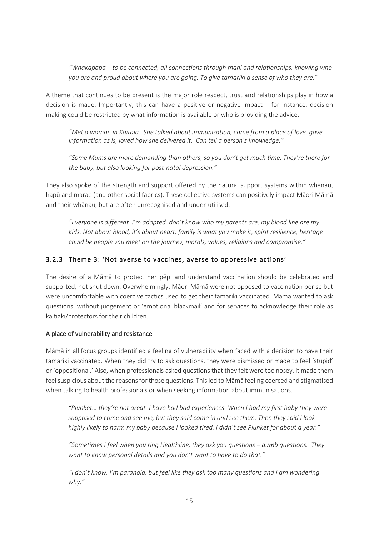*"Whakapapa – to be connected, all connections through mahi and relationships, knowing who you are and proud about where you are going. To give tamariki a sense of who they are."*

A theme that continues to be present is the major role respect, trust and relationships play in how a decision is made. Importantly, this can have a positive or negative impact – for instance, decision making could be restricted by what information is available or who is providing the advice.

*"Met a woman in Kaitaia. She talked about immunisation, came from a place of love, gave information as is, loved how she delivered it. Can tell a person's knowledge."*

*"Some Mums are more demanding than others, so you don't get much time. They're there for the baby, but also looking for post-natal depression."*

They also spoke of the strength and support offered by the natural support systems within whānau, hapū and marae (and other social fabrics). These collective systems can positively impact Māori Māmā and their whānau, but are often unrecognised and under-utilised.

*"Everyone is different. I'm adopted, don't know who my parents are, my blood line are my kids. Not about blood, it's about heart, family is what you make it, spirit resilience, heritage could be people you meet on the journey, morals, values, religions and compromise."*

#### 3.2.3 Theme 3: 'Not averse to vaccines, averse to oppressive actions'

The desire of a Māmā to protect her pēpi and understand vaccination should be celebrated and supported, not shut down. Overwhelmingly, Māori Māmā were not opposed to vaccination per se but were uncomfortable with coercive tactics used to get their tamariki vaccinated. Māmā wanted to ask questions, without judgement or 'emotional blackmail' and for services to acknowledge their role as kaitiaki/protectors for their children.

#### A place of vulnerability and resistance

Māmā in all focus groups identified a feeling of vulnerability when faced with a decision to have their tamariki vaccinated. When they did try to ask questions, they were dismissed or made to feel 'stupid' or 'oppositional.' Also, when professionals asked questions that they felt were too nosey, it made them feel suspicious about the reasons for those questions. This led to Māmā feeling coerced and stigmatised when talking to health professionals or when seeking information about immunisations.

*"Plunket… they're not great. I have had bad experiences. When I had my first baby they were supposed to come and see me, but they said come in and see them. Then they said I look highly likely to harm my baby because I looked tired. I didn't see Plunket for about a year."*

*"Sometimes I feel when you ring Healthline, they ask you questions – dumb questions. They want to know personal details and you don't want to have to do that."*

*"I don't know, I'm paranoid, but feel like they ask too many questions and I am wondering why."*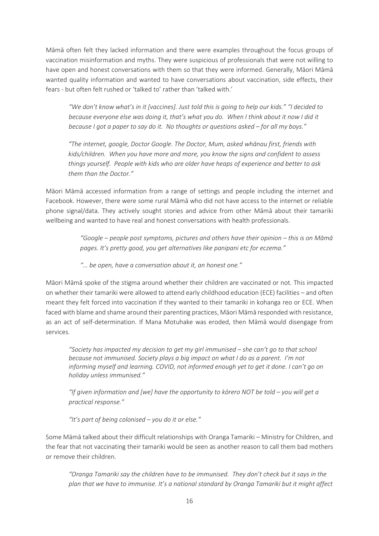Māmā often felt they lacked information and there were examples throughout the focus groups of vaccination misinformation and myths. They were suspicious of professionals that were not willing to have open and honest conversations with them so that they were informed. Generally, Māori Māmā wanted quality information and wanted to have conversations about vaccination, side effects, their fears - but often felt rushed or 'talked to' rather than 'talked with.'

*"We don't know what's in it [vaccines]. Just told this is going to help our kids." "I decided to because everyone else was doing it, that's what you do. When I think about it now I did it because I got a paper to say do it. No thoughts or questions asked – for all my boys."* 

*"The internet, google, Doctor Google. The Doctor, Mum, asked whānau first, friends with kids/children. When you have more and more, you know the signs and confident to assess things yourself. People with kids who are older have heaps of experience and better to ask them than the Doctor."*

Māori Māmā accessed information from a range of settings and people including the internet and Facebook. However, there were some rural Māmā who did not have access to the internet or reliable phone signal/data. They actively sought stories and advice from other Māmā about their tamariki wellbeing and wanted to have real and honest conversations with health professionals.

> *"Google – people post symptoms, pictures and others have their opinion – this is on Māmā pages. It's pretty good, you get alternatives like panipani etc for eczema."*

*"… be open, have a conversation about it, an honest one."*

Māori Māmā spoke of the stigma around whether their children are vaccinated or not. This impacted on whether their tamariki were allowed to attend early childhood education (ECE) facilities – and often meant they felt forced into vaccination if they wanted to their tamariki in kohanga reo or ECE. When faced with blame and shame around their parenting practices, Māori Māmā responded with resistance, as an act of self-determination. If Mana Motuhake was eroded, then Māmā would disengage from services.

*"Society has impacted my decision to get my girl immunised – she can't go to that school because not immunised. Society plays a big impact on what I do as a parent. I'm not informing myself and learning. COVID, not informed enough yet to get it done. I can't go on holiday unless immunised."*

*"If given information and [we] have the opportunity to kōrero NOT be told – you will get a practical response."*

*"It's part of being colonised – you do it or else."*

Some Māmā talked about their difficult relationships with Oranga Tamariki – Ministry for Children, and the fear that not vaccinating their tamariki would be seen as another reason to call them bad mothers or remove their children.

*"Oranga Tamariki say the children have to be immunised. They don't check but it says in the plan that we have to immunise. It's a national standard by Oranga Tamariki but it might affect*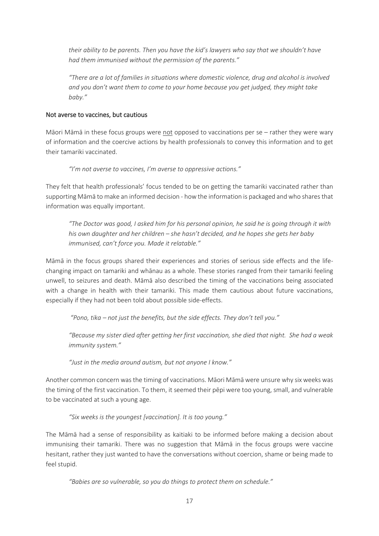*their ability to be parents. Then you have the kid's lawyers who say that we shouldn't have had them immunised without the permission of the parents."*

*"There are a lot of families in situations where domestic violence, drug and alcohol is involved and you don't want them to come to your home because you get judged, they might take baby."* 

#### Not averse to vaccines, but cautious

Māori Māmā in these focus groups were not opposed to vaccinations per se – rather they were wary of information and the coercive actions by health professionals to convey this information and to get their tamariki vaccinated.

*"I'm not averse to vaccines, I'm averse to oppressive actions."*

They felt that health professionals' focus tended to be on getting the tamariki vaccinated rather than supporting Māmā to make an informed decision - how the information is packaged and who shares that information was equally important.

*"The Doctor was good, I asked him for his personal opinion, he said he is going through it with his own daughter and her children – she hasn't decided, and he hopes she gets her baby immunised, can't force you. Made it relatable."* 

Māmā in the focus groups shared their experiences and stories of serious side effects and the lifechanging impact on tamariki and whānau as a whole. These stories ranged from their tamariki feeling unwell, to seizures and death. Māmā also described the timing of the vaccinations being associated with a change in health with their tamariki. This made them cautious about future vaccinations, especially if they had not been told about possible side-effects.

*"Pono, tika – not just the benefits, but the side effects. They don't tell you."* 

*"Because my sister died after getting her first vaccination, she died that night. She had a weak immunity system."*

*"Just in the media around autism, but not anyone I know."*

Another common concern was the timing of vaccinations. Māori Māmā were unsure why six weeks was the timing of the first vaccination. To them, it seemed their pēpi were too young, small, and vulnerable to be vaccinated at such a young age.

*"Six weeks is the youngest [vaccination]. It is too young."* 

The Māmā had a sense of responsibility as kaitiaki to be informed before making a decision about immunising their tamariki. There was no suggestion that Māmā in the focus groups were vaccine hesitant, rather they just wanted to have the conversations without coercion, shame or being made to feel stupid.

*"Babies are so vulnerable, so you do things to protect them on schedule."*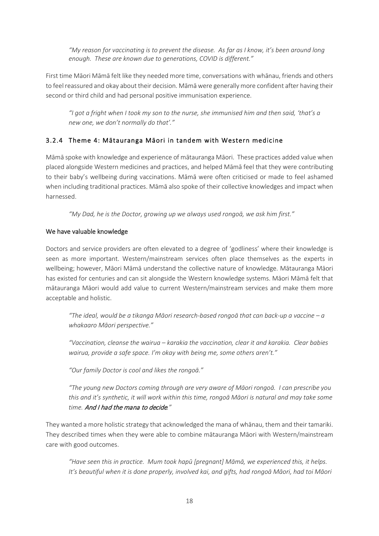*"My reason for vaccinating is to prevent the disease. As far as I know, it's been around long enough. These are known due to generations, COVID is different."*

First time Māori Māmā felt like they needed more time, conversations with whānau, friends and others to feel reassured and okay about their decision. Māmā were generally more confident after having their second or third child and had personal positive immunisation experience.

*"I got a fright when I took my son to the nurse, she immunised him and then said, 'that's a new one, we don't normally do that'."* 

#### 3.2.4 Theme 4: Mātauranga Māori in tandem with Western medicine

Māmā spoke with knowledge and experience of mātauranga Māori. These practices added value when placed alongside Western medicines and practices, and helped Māmā feel that they were contributing to their baby's wellbeing during vaccinations. Māmā were often criticised or made to feel ashamed when including traditional practices. Māmā also spoke of their collective knowledges and impact when harnessed.

*"My Dad, he is the Doctor, growing up we always used rongoā, we ask him first."*

#### We have valuable knowledge

Doctors and service providers are often elevated to a degree of 'godliness' where their knowledge is seen as more important. Western/mainstream services often place themselves as the experts in wellbeing; however, Māori Māmā understand the collective nature of knowledge. Mātauranga Māori has existed for centuries and can sit alongside the Western knowledge systems. Māori Māmā felt that mātauranga Māori would add value to current Western/mainstream services and make them more acceptable and holistic.

*"The ideal, would be a tikanga Māori research-based rongoā that can back-up a vaccine – a whakaaro Māori perspective."*

*"Vaccination, cleanse the wairua – karakia the vaccination, clear it and karakia. Clear babies wairua, provide a safe space. I'm okay with being me, some others aren't."*

*"Our family Doctor is cool and likes the rongoā."*

*"The young new Doctors coming through are very aware of Māori rongoā. I can prescribe you this and it's synthetic, it will work within this time, rongoā Māori is natural and may take some time.* And I had the mana to decide*."*

They wanted a more holistic strategy that acknowledged the mana of whānau, them and their tamariki. They described times when they were able to combine mātauranga Māori with Western/mainstream care with good outcomes.

*"Have seen this in practice. Mum took hapū [pregnant] Māmā, we experienced this, it helps. It's beautiful when it is done properly, involved kai, and gifts, had rongoā Māori, had toi Māori*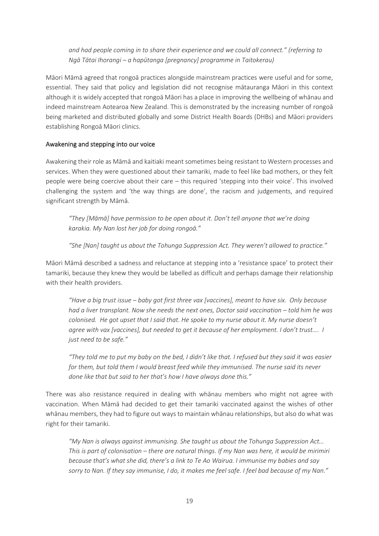*and had people coming in to share their experience and we could all connect." (referring to Ngā Tātai Ihorangi – a hapūtanga [pregnancy] programme in Taitokerau)*

Māori Māmā agreed that rongoā practices alongside mainstream practices were useful and for some, essential. They said that policy and legislation did not recognise mātauranga Māori in this context although it is widely accepted that rongoā Māori has a place in improving the wellbeing of whānau and indeed mainstream Aotearoa New Zealand. This is demonstrated by the increasing number of rongoā being marketed and distributed globally and some District Health Boards (DHBs) and Māori providers establishing Rongoā Māori clinics.

#### Awakening and stepping into our voice

Awakening their role as Māmā and kaitiaki meant sometimes being resistant to Western processes and services. When they were questioned about their tamariki, made to feel like bad mothers, or they felt people were being coercive about their care – this required 'stepping into their voice'. This involved challenging the system and 'the way things are done', the racism and judgements, and required significant strength by Māmā.

*"They [Māmā] have permission to be open about it. Don't tell anyone that we're doing karakia. My Nan lost her job for doing rongoā."*

*"She [Nan] taught us about the Tohunga Suppression Act. They weren't allowed to practice."* 

Māori Māmā described a sadness and reluctance at stepping into a 'resistance space' to protect their tamariki, because they knew they would be labelled as difficult and perhaps damage their relationship with their health providers.

*"Have a big trust issue – baby got first three vax [vaccines], meant to have six. Only because had a liver transplant. Now she needs the next ones, Doctor said vaccination – told him he was colonised. He got upset that I said that. He spoke to my nurse about it. My nurse doesn't agree with vax [vaccines], but needed to get it because of her employment. I don't trust…. I just need to be safe."*

*"They told me to put my baby on the bed, I didn't like that. I refused but they said it was easier for them, but told them I would breast feed while they immunised. The nurse said its never done like that but said to her that's how I have always done this."* 

There was also resistance required in dealing with whānau members who might not agree with vaccination. When Māmā had decided to get their tamariki vaccinated against the wishes of other whānau members, they had to figure out ways to maintain whānau relationships, but also do what was right for their tamariki.

*"My Nan is always against immunising. She taught us about the Tohunga Suppression Act… This is part of colonisation – there are natural things. If my Nan was here, it would be mirimiri because that's what she did, there's a link to Te Ao Wairua. I immunise my babies and say sorry to Nan. If they say immunise, I do, it makes me feel safe. I feel bad because of my Nan."*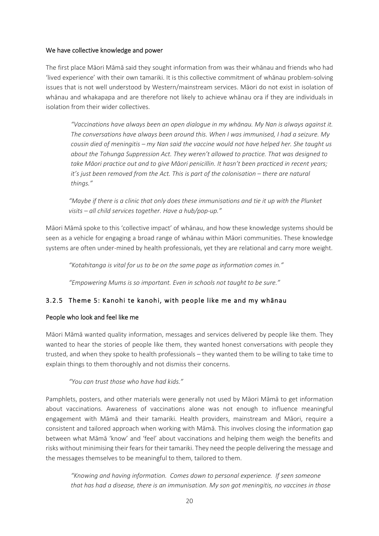#### We have collective knowledge and power

The first place Māori Māmā said they sought information from was their whānau and friends who had 'lived experience' with their own tamariki. It is this collective commitment of whānau problem-solving issues that is not well understood by Western/mainstream services. Māori do not exist in isolation of whānau and whakapapa and are therefore not likely to achieve whānau ora if they are individuals in isolation from their wider collectives.

*"Vaccinations have always been an open dialogue in my whānau. My Nan is always against it. The conversations have always been around this. When I was immunised, I had a seizure. My cousin died of meningitis – my Nan said the vaccine would not have helped her. She taught us about the Tohunga Suppression Act. They weren't allowed to practice. That was designed to take Māori practice out and to give Māori penicillin. It hasn't been practiced in recent years; it's just been removed from the Act. This is part of the colonisation – there are natural things."*

*"Maybe if there is a clinic that only does these immunisations and tie it up with the Plunket visits – all child services together. Have a hub/pop-up."*

Māori Māmā spoke to this 'collective impact' of whānau, and how these knowledge systems should be seen as a vehicle for engaging a broad range of whānau within Māori communities. These knowledge systems are often under-mined by health professionals, yet they are relational and carry more weight.

*"Kotahitanga is vital for us to be on the same page as information comes in."*

*"Empowering Mums is so important. Even in schools not taught to be sure."*

#### 3.2.5 Theme 5: Kanohi te kanohi, with people like me and my whānau

#### People who look and feel like me

Māori Māmā wanted quality information, messages and services delivered by people like them. They wanted to hear the stories of people like them, they wanted honest conversations with people they trusted, and when they spoke to health professionals – they wanted them to be willing to take time to explain things to them thoroughly and not dismiss their concerns.

*"You can trust those who have had kids."*

Pamphlets, posters, and other materials were generally not used by Māori Māmā to get information about vaccinations. Awareness of vaccinations alone was not enough to influence meaningful engagement with Māmā and their tamariki. Health providers, mainstream and Māori, require a consistent and tailored approach when working with Māmā. This involves closing the information gap between what Māmā 'know' and 'feel' about vaccinations and helping them weigh the benefits and risks without minimising their fears for their tamariki. They need the people delivering the message and the messages themselves to be meaningful to them, tailored to them.

*"Knowing and having information. Comes down to personal experience. If seen someone that has had a disease, there is an immunisation. My son got meningitis, no vaccines in those*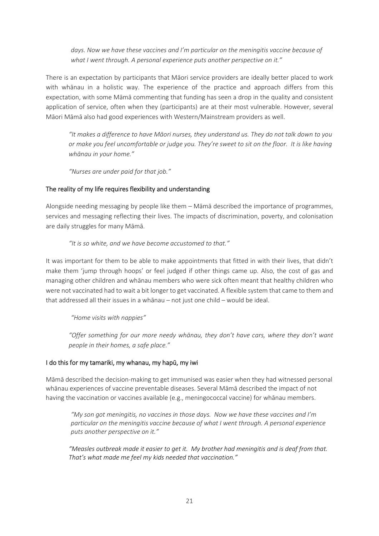*days. Now we have these vaccines and I'm particular on the meningitis vaccine because of what I went through. A personal experience puts another perspective on it."*

There is an expectation by participants that Māori service providers are ideally better placed to work with whānau in a holistic way. The experience of the practice and approach differs from this expectation, with some Māmā commenting that funding has seen a drop in the quality and consistent application of service, often when they (participants) are at their most vulnerable. However, several Māori Māmā also had good experiences with Western/Mainstream providers as well.

*"It makes a difference to have Māori nurses, they understand us. They do not talk down to you or make you feel uncomfortable or judge you. They're sweet to sit on the floor. It is like having whānau in your home."*

*"Nurses are under paid for that job."*

#### The reality of my life requires flexibility and understanding

Alongside needing messaging by people like them – Māmā described the importance of programmes, services and messaging reflecting their lives. The impacts of discrimination, poverty, and colonisation are daily struggles for many Māmā.

#### *"It is so white, and we have become accustomed to that."*

It was important for them to be able to make appointments that fitted in with their lives, that didn't make them 'jump through hoops' or feel judged if other things came up. Also, the cost of gas and managing other children and whānau members who were sick often meant that healthy children who were not vaccinated had to wait a bit longer to get vaccinated. A flexible system that came to them and that addressed all their issues in a whānau – not just one child – would be ideal.

*"Home visits with nappies"*

*"Offer something for our more needy whānau, they don't have cars, where they don't want people in their homes, a safe place."*

#### I do this for my tamariki, my whanau, my hapū, my iwi

Māmā described the decision-making to get immunised was easier when they had witnessed personal whānau experiences of vaccine preventable diseases. Several Māmā described the impact of not having the vaccination or vaccines available (e.g., meningococcal vaccine) for whānau members.

*"My son got meningitis, no vaccines in those days. Now we have these vaccines and I'm particular on the meningitis vaccine because of what I went through. A personal experience puts another perspective on it."*

*"Measles outbreak made it easier to get it. My brother had meningitis and is deaf from that. That's what made me feel my kids needed that vaccination."*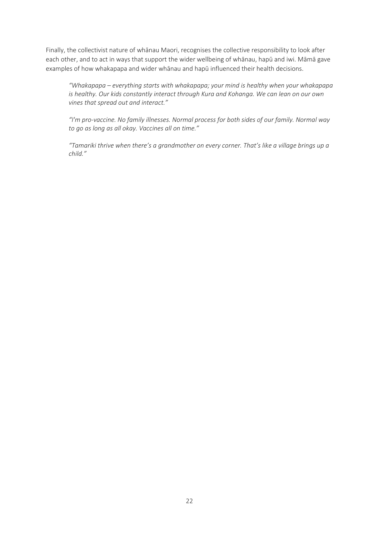Finally, the collectivist nature of whānau Maori, recognises the collective responsibility to look after each other, and to act in ways that support the wider wellbeing of whānau, hapū and iwi. Māmā gave examples of how whakapapa and wider whānau and hapū influenced their health decisions.

*"Whakapapa – everything starts with whakapapa; your mind is healthy when your whakapapa is healthy. Our kids constantly interact through Kura and Kohanga. We can lean on our own vines that spread out and interact."*

*"I'm pro-vaccine. No family illnesses. Normal process for both sides of our family. Normal way to go as long as all okay. Vaccines all on time."*

*"Tamariki thrive when there's a grandmother on every corner. That's like a village brings up a child."*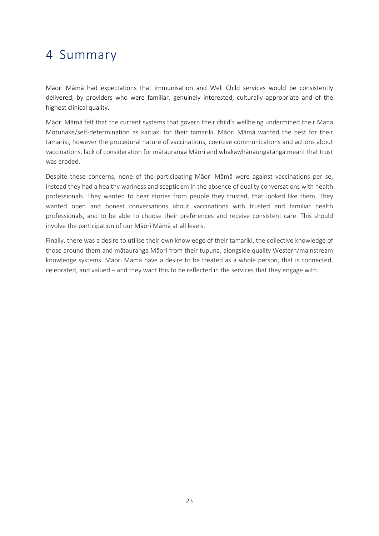### <span id="page-26-0"></span>4 Summary

Māori Māmā had expectations that immunisation and Well Child services would be consistently delivered, by providers who were familiar, genuinely interested, culturally appropriate and of the highest clinical quality.

Māori Māmā felt that the current systems that govern their child's wellbeing undermined their Mana Motuhake/self-determination as kaitiaki for their tamariki. Māori Māmā wanted the best for their tamariki, however the procedural nature of vaccinations, coercive communications and actions about vaccinations, lack of consideration for mātauranga Māori and whakawhānaungatanga meant that trust was eroded.

Despite these concerns, none of the participating Māori Māmā were against vaccinations per se, instead they had a healthy wariness and scepticism in the absence of quality conversations with health professionals. They wanted to hear stories from people they trusted, that looked like them. They wanted open and honest conversations about vaccinations with trusted and familiar health professionals, and to be able to choose their preferences and receive consistent care. This should involve the participation of our Māori Māmā at all levels.

Finally, there was a desire to utilise their own knowledge of their tamariki, the collective knowledge of those around them and mātauranga Māori from their tupuna, alongside quality Western/mainstream knowledge systems. Māori Māmā have a desire to be treated as a whole person, that is connected, celebrated, and valued – and they want this to be reflected in the services that they engage with.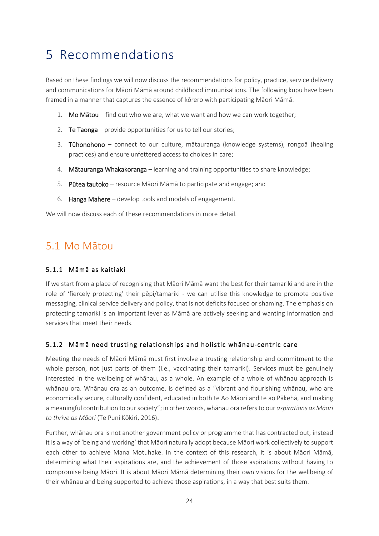### <span id="page-27-0"></span>5 Recommendations

Based on these findings we will now discuss the recommendations for policy, practice, service delivery and communications for Māori Māmā around childhood immunisations. The following kupu have been framed in a manner that captures the essence of kōrero with participating Māori Māmā:

- 1. Mo Mātou find out who we are, what we want and how we can work together;
- 2. Te Taonga provide opportunities for us to tell our stories;
- 3. Tūhonohono connect to our culture, mātauranga (knowledge systems), rongoā (healing practices) and ensure unfettered access to choices in care;
- 4. Mātauranga Whakakoranga learning and training opportunities to share knowledge;
- 5. Pūtea tautoko resource Māori Māmā to participate and engage; and
- 6. Hanga Mahere develop tools and models of engagement.

<span id="page-27-1"></span>We will now discuss each of these recommendations in more detail.

### 5.1 Mo Mātou

#### 5.1.1 Māmā as kaitiaki

If we start from a place of recognising that Māori Māmā want the best for their tamariki and are in the role of 'fiercely protecting' their pēpi/tamariki - we can utilise this knowledge to promote positive messaging, clinical service delivery and policy, that is not deficits focused or shaming. The emphasis on protecting tamariki is an important lever as Māmā are actively seeking and wanting information and services that meet their needs.

#### 5.1.2 Māmā need trusting relationships and holistic whānau-centric care

Meeting the needs of Māori Māmā must first involve a trusting relationship and commitment to the whole person, not just parts of them (i.e., vaccinating their tamariki). Services must be genuinely interested in the wellbeing of whānau, as a whole. An example of a whole of whānau approach is whānau ora. Whānau ora as an outcome, is defined as a "vibrant and flourishing whānau, who are economically secure, culturally confident, educated in both te Ao Māori and te ao Pākehā, and making a meaningful contribution to our society"; in other words, whānau ora refers to our *aspirations as Māori to thrive as Māori* (Te Puni Kōkiri, 2016).

Further, whānau ora is not another government policy or programme that has contracted out, instead it is a way of 'being and working' that Māori naturally adopt because Māori work collectively to support each other to achieve Mana Motuhake. In the context of this research, it is about Māori Māmā, determining what their aspirations are, and the achievement of those aspirations without having to compromise being Māori. It is about Māori Māmā determining their own visions for the wellbeing of their whānau and being supported to achieve those aspirations, in a way that best suits them.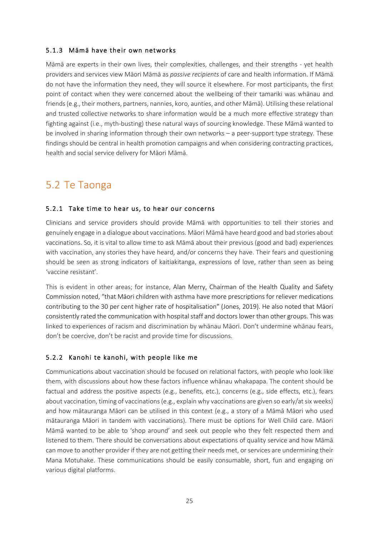#### 5.1.3 Māmā have their own networks

Māmā are experts in their own lives, their complexities, challenges, and their strengths - yet health providers and services view Māori Māmā as *passive recipients* of care and health information. If Māmā do not have the information they need, they will source it elsewhere. For most participants, the first point of contact when they were concerned about the wellbeing of their tamariki was whānau and friends (e.g., their mothers, partners, nannies, koro, aunties, and other Māmā). Utilising these relational and trusted collective networks to share information would be a much more effective strategy than fighting against (i.e., myth-busting) these natural ways of sourcing knowledge. These Māmā wanted to be involved in sharing information through their own networks – a peer-support type strategy. These findings should be central in health promotion campaigns and when considering contracting practices, health and social service delivery for Māori Māmā.

### <span id="page-28-0"></span>5.2 Te Taonga

#### 5.2.1 Take time to hear us, to hear our concerns

Clinicians and service providers should provide Māmā with opportunities to tell their stories and genuinely engage in a dialogue about vaccinations. Māori Māmā have heard good and bad stories about vaccinations. So, it is vital to allow time to ask Māmā about their previous (good and bad) experiences with vaccination, any stories they have heard, and/or concerns they have. Their fears and questioning should be seen as strong indicators of kaitiakitanga, expressions of love, rather than seen as being 'vaccine resistant'.

This is evident in other areas; for instance, Alan Merry, Chairman of the Health Quality and Safety Commission noted, "that Māori children with asthma have more prescriptions for reliever medications contributing to the 30 per cent higher rate of hospitalisation" (Jones, 2019). He also noted that Māori consistently rated the communication with hospital staff and doctors lower than other groups. This was linked to experiences of racism and discrimination by whānau Māori. Don't undermine whānau fears, don't be coercive, don't be racist and provide time for discussions.

#### 5.2.2 Kanohi te kanohi, with people like me

Communications about vaccination should be focused on relational factors, with people who look like them, with discussions about how these factors influence whānau whakapapa. The content should be factual and address the positive aspects (e.g., benefits, etc.), concerns (e.g., side effects, etc.), fears about vaccination, timing of vaccinations (e.g., explain why vaccinations are given so early/at six weeks) and how mātauranga Māori can be utilised in this context (e.g., a story of a Māmā Māori who used mātauranga Māori in tandem with vaccinations). There must be options for Well Child care. Māori Māmā wanted to be able to 'shop around' and seek out people who they felt respected them and listened to them. There should be conversations about expectations of quality service and how Māmā can move to another provider if they are not getting their needs met, or services are undermining their Mana Motuhake. These communications should be easily consumable, short, fun and engaging on various digital platforms.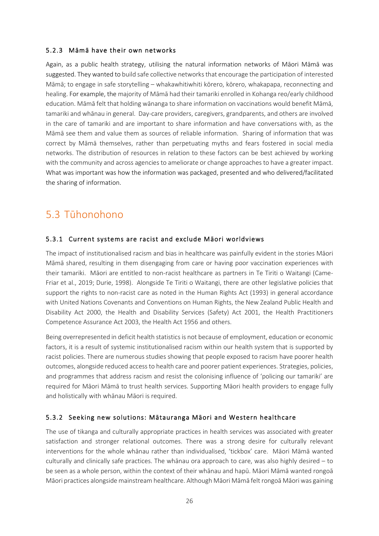#### 5.2.3 Māmā have their own networks

Again, as a public health strategy, utilising the natural information networks of Māori Māmā was suggested. They wanted to build safe collective networks that encourage the participation of interested Māmā; to engage in safe storytelling – whakawhitiwhiti kōrero, kōrero, whakapapa, reconnecting and healing. For example, the majority of Māmā had their tamariki enrolled in Kohanga reo/early childhood education. Māmā felt that holding wānanga to share information on vaccinations would benefit Māmā, tamariki and whānau in general. Day-care providers, caregivers, grandparents, and others are involved in the care of tamariki and are important to share information and have conversations with, as the Māmā see them and value them as sources of reliable information. Sharing of information that was correct by Māmā themselves, rather than perpetuating myths and fears fostered in social media networks. The distribution of resources in relation to these factors can be best achieved by working with the community and across agencies to ameliorate or change approaches to have a greater impact. What was important was how the information was packaged, presented and who delivered/facilitated the sharing of information.

### <span id="page-29-0"></span>5.3 Tūhonohono

#### 5.3.1 Current systems are racist and exclude Māori worldviews

The impact of institutionalised racism and bias in healthcare was painfully evident in the stories Māori Māmā shared, resulting in them disengaging from care or having poor vaccination experiences with their tamariki. Māori are entitled to non-racist healthcare as partners in Te Tiriti o Waitangi (Came-Friar et al., 2019; Durie, 1998). Alongside Te Tiriti o Waitangi, there are other legislative policies that support the rights to non-racist care as noted in the Human Rights Act (1993) in general accordance with United Nations Covenants and Conventions on Human Rights, the New Zealand Public Health and Disability Act 2000, the Health and Disability Services (Safety) Act 2001, the Health Practitioners Competence Assurance Act 2003, the Health Act 1956 and others.

Being overrepresented in deficit health statistics is not because of employment, education or economic factors, it is a result of systemic institutionalised racism within our health system that is supported by racist policies. There are numerous studies showing that people exposed to racism have poorer health outcomes, alongside reduced access to health care and poorer patient experiences. Strategies, policies, and programmes that address racism and resist the colonising influence of 'policing our tamariki' are required for Māori Māmā to trust health services. Supporting Māori health providers to engage fully and holistically with whānau Māori is required.

#### 5.3.2 Seeking new solutions: Mātauranga Māori and Western healthcare

The use of tikanga and culturally appropriate practices in health services was associated with greater satisfaction and stronger relational outcomes. There was a strong desire for culturally relevant interventions for the whole whānau rather than individualised, 'tickbox' care. Māori Māmā wanted culturally and clinically safe practices. The whānau ora approach to care, was also highly desired – to be seen as a whole person, within the context of their whānau and hapū. Māori Māmā wanted rongoā Māori practices alongside mainstream healthcare. Although Māori Māmā felt rongoā Māori was gaining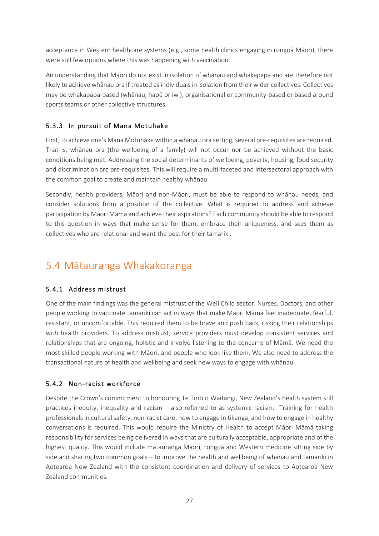acceptance in Western healthcare systems (e.g., some health clinics engaging in rongoā Māori), there were still few options where this was happening with vaccination.

An understanding that Māori do not exist in isolation of whānau and whakapapa and are therefore not likely to achieve whānau ora if treated as individuals in isolation from their wider collectives. Collectives may be whakapapa-based (whānau, hapū or iwi), organisational or community-based or based around sports teams or other collective structures.

#### 5.3.3 In pursuit of Mana Motuhake

First, to achieve one's Mana Motuhake within a whānau ora setting, several pre-requisites are required. That is, whānau ora (the wellbeing of a family) will not occur nor be achieved without the basic conditions being met. Addressing the social determinants of wellbeing, poverty, housing, food security and discrimination are pre-requisites. This will require a multi-faceted and intersectoral approach with the common goal to create and maintain healthy whānau.

Secondly, health providers, Māori and non-Māori, must be able to respond to whānau needs, and consider solutions from a position of the collective. What is required to address and achieve participation by Māori Māmā and achieve their aspirations? Each community should be able to respond to this question in ways that make sense for them, embrace their uniqueness, and sees them as collectives who are relational and want the best for their tamariki.

### <span id="page-30-0"></span>5.4 Mātauranga Whakakoranga

#### 5.4.1 Address mistrust

One of the main findings was the general mistrust of the Well Child sector. Nurses, Doctors, and other people working to vaccinate tamariki can act in ways that make Māori Māmā feel inadequate, fearful, resistant, or uncomfortable. This required them to be brave and push back, risking their relationships with health providers. To address mistrust, service providers must develop consistent services and relationships that are ongoing, holistic and involve listening to the concerns of Māmā. We need the most skilled people working with Māori, and people who look like them. We also need to address the transactional nature of health and wellbeing and seek new ways to engage with whānau.

#### 5.4.2 Non-racist workforce

Despite the Crown's commitment to honouring Te Tiriti o Waitangi, New Zealand's health system still practices inequity, inequality and racism – also referred to as systemic racism. Training for health professionals in cultural safety, non-racist care, how to engage in tikanga, and how to engage in healthy conversations is required. This would require the Ministry of Health to accept Māori Māmā taking responsibility for services being delivered in ways that are culturally acceptable, appropriate and of the highest quality. This would include mātauranga Māori, rongoā and Western medicine sitting side by side and sharing two common goals – to improve the health and wellbeing of whānau and tamariki in Aotearoa New Zealand with the consistent coordination and delivery of services to Aotearoa New Zealand communities.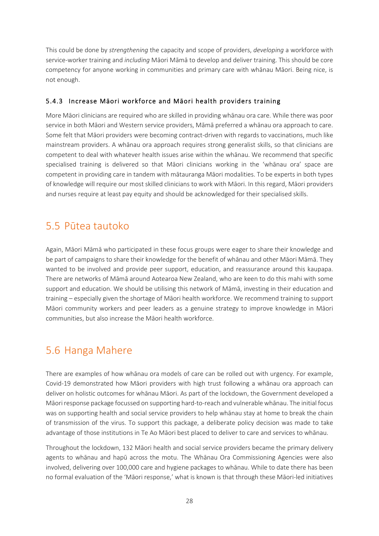This could be done by *strengthening* the capacity and scope of providers, *developing* a workforce with service-worker training and *including* Māori Māmā to develop and deliver training. This should be core competency for anyone working in communities and primary care with whānau Māori. Being nice, is not enough.

#### 5.4.3 Increase Māori workforce and Māori health providers training

More Māori clinicians are required who are skilled in providing whānau ora care. While there was poor service in both Māori and Western service providers, Māmā preferred a whānau ora approach to care. Some felt that Māori providers were becoming contract-driven with regards to vaccinations, much like mainstream providers. A whānau ora approach requires strong generalist skills, so that clinicians are competent to deal with whatever health issues arise within the whānau. We recommend that specific specialised training is delivered so that Māori clinicians working in the 'whānau ora' space are competent in providing care in tandem with mātauranga Māori modalities. To be experts in both types of knowledge will require our most skilled clinicians to work with Māori. In this regard, Māori providers and nurses require at least pay equity and should be acknowledged for their specialised skills.

### <span id="page-31-0"></span>5.5 Pūtea tautoko

Again, Māori Māmā who participated in these focus groups were eager to share their knowledge and be part of campaigns to share their knowledge for the benefit of whānau and other Māori Māmā. They wanted to be involved and provide peer support, education, and reassurance around this kaupapa. There are networks of Māmā around Aotearoa New Zealand, who are keen to do this mahi with some support and education. We should be utilising this network of Māmā, investing in their education and training – especially given the shortage of Māori health workforce. We recommend training to support Māori community workers and peer leaders as a genuine strategy to improve knowledge in Māori communities, but also increase the Māori health workforce.

### <span id="page-31-1"></span>5.6 Hanga Mahere

There are examples of how whānau ora models of care can be rolled out with urgency. For example, Covid-19 demonstrated how Māori providers with high trust following a whānau ora approach can deliver on holistic outcomes for whānau Māori. As part of the lockdown, the Government developed a Māori response package focussed on supporting hard-to-reach and vulnerable whānau. The initial focus was on supporting health and social service providers to help whānau stay at home to break the chain of transmission of the virus. To support this package, a deliberate policy decision was made to take advantage of those institutions in Te Ao Māori best placed to deliver to care and services to whānau.

Throughout the lockdown, 132 Māori health and social service providers became the primary delivery agents to whānau and hapū across the motu. The Whānau Ora Commissioning Agencies were also involved, delivering over 100,000 care and hygiene packages to whānau. While to date there has been no formal evaluation of the 'Māori response,' what is known is that through these Māori-led initiatives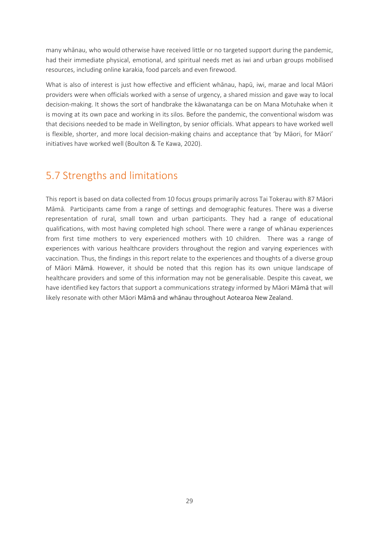many whānau, who would otherwise have received little or no targeted support during the pandemic, had their immediate physical, emotional, and spiritual needs met as iwi and urban groups mobilised resources, including online karakia, food parcels and even firewood.

What is also of interest is just how effective and efficient whānau, hapū, iwi, marae and local Māori providers were when officials worked with a sense of urgency, a shared mission and gave way to local decision-making. It shows the sort of handbrake the kāwanatanga can be on Mana Motuhake when it is moving at its own pace and working in its silos. Before the pandemic, the conventional wisdom was that decisions needed to be made in Wellington, by senior officials. What appears to have worked well is flexible, shorter, and more local decision-making chains and acceptance that 'by Māori, for Māori' initiatives have worked well (Boulton & Te Kawa, 2020).

### <span id="page-32-0"></span>5.7 Strengths and limitations

This report is based on data collected from 10 focus groups primarily across Tai Tokerau with 87 Māori Māmā. Participants came from a range of settings and demographic features. There was a diverse representation of rural, small town and urban participants. They had a range of educational qualifications, with most having completed high school. There were a range of whānau experiences from first time mothers to very experienced mothers with 10 children. There was a range of experiences with various healthcare providers throughout the region and varying experiences with vaccination. Thus, the findings in this report relate to the experiences and thoughts of a diverse group of Māori Māmā. However, it should be noted that this region has its own unique landscape of healthcare providers and some of this information may not be generalisable. Despite this caveat, we have identified key factors that support a communications strategy informed by Māori Māmā that will likely resonate with other Māori Māmā and whānau throughout Aotearoa New Zealand.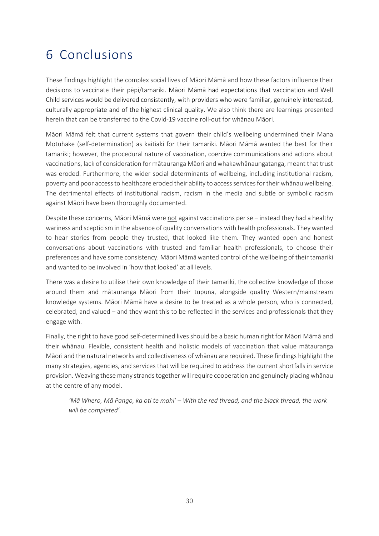### <span id="page-33-0"></span>6 Conclusions

These findings highlight the complex social lives of Māori Māmā and how these factors influence their decisions to vaccinate their pēpi/tamariki. Māori Māmā had expectations that vaccination and Well Child services would be delivered consistently, with providers who were familiar, genuinely interested, culturally appropriate and of the highest clinical quality. We also think there are learnings presented herein that can be transferred to the Covid-19 vaccine roll-out for whānau Māori.

Māori Māmā felt that current systems that govern their child's wellbeing undermined their Mana Motuhake (self-determination) as kaitiaki for their tamariki. Māori Māmā wanted the best for their tamariki; however, the procedural nature of vaccination, coercive communications and actions about vaccinations, lack of consideration for mātauranga Māori and whakawhānaungatanga, meant that trust was eroded. Furthermore, the wider social determinants of wellbeing, including institutional racism, poverty and poor access to healthcare eroded their ability to access services for their whānau wellbeing. The detrimental effects of institutional racism, racism in the media and subtle or symbolic racism against Māori have been thoroughly documented.

Despite these concerns, Māori Māmā were not against vaccinations per se – instead they had a healthy wariness and scepticism in the absence of quality conversations with health professionals. They wanted to hear stories from people they trusted, that looked like them. They wanted open and honest conversations about vaccinations with trusted and familiar health professionals, to choose their preferences and have some consistency. Māori Māmā wanted control of the wellbeing of their tamariki and wanted to be involved in 'how that looked' at all levels.

There was a desire to utilise their own knowledge of their tamariki, the collective knowledge of those around them and mātauranga Māori from their tupuna, alongside quality Western/mainstream knowledge systems. Māori Māmā have a desire to be treated as a whole person, who is connected, celebrated, and valued – and they want this to be reflected in the services and professionals that they engage with.

Finally, the right to have good self-determined lives should be a basic human right for Māori Māmā and their whānau. Flexible, consistent health and holistic models of vaccination that value mātauranga Māori and the natural networks and collectiveness of whānau are required. These findings highlight the many strategies, agencies, and services that will be required to address the current shortfalls in service provision. Weaving these many strands together will require cooperation and genuinely placingwhānau at the centre of any model.

*'Mā Whero, Mā Pango, ka oti te mahi' – With the red thread, and the black thread, the work will be completed'.*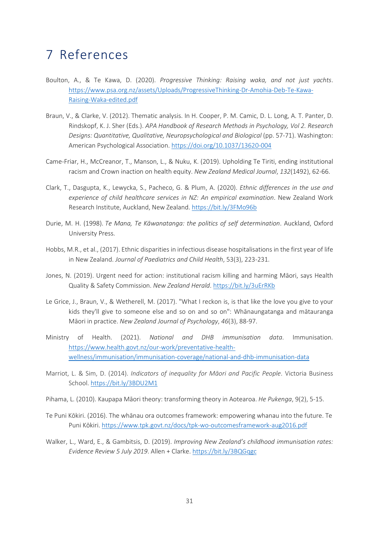### <span id="page-34-0"></span>7 References

- Boulton, A., & Te Kawa, D. (2020). *Progressive Thinking: Raising waka, and not just yachts*. [https://www.psa.org.nz/assets/Uploads/ProgressiveThinking](https://www.psa.org.nz/assets/Uploads/ProgressiveThinking-Dr-Amohia-Deb-Te-Kawa-Raising-Waka-edited.pdf)-Dr-Amohia-Deb-Te-Kawa-Raising-Waka-[edited.pdf](https://www.psa.org.nz/assets/Uploads/ProgressiveThinking-Dr-Amohia-Deb-Te-Kawa-Raising-Waka-edited.pdf)
- Braun, V., & Clarke, V. (2012). Thematic analysis. In H. Cooper, P. M. Camic, D. L. Long, A. T. Panter, D. Rindskopf, K. J. Sher (Eds.). *APA Handbook of Research Methods in Psychology, Vol 2. Research Designs: Quantitative, Qualitative, Neuropsychological and Biological (pp. 57-71). Washington:* American Psychological Association. [https://doi.org/10.1037/13620](https://doi.org/10.1037/13620-004)-004
- Came-Friar, H., McCreanor, T., Manson, L., & Nuku, K. (2019). Upholding Te Tiriti, ending institutional racism and Crown inaction on health equity. *New Zealand Medical Journal*, *132*(1492), 62-66.
- Clark, T., Dasgupta, K., Lewycka, S., Pacheco, G. & Plum, A. (2020). *Ethnic differences in the use and experience of child healthcare services in NZ: An empirical examination*. New Zealand Work Research Institute, Auckland, New Zealand.<https://bit.ly/3FMo96b>
- Durie, M. H. (1998). *Te Mana, Te Kāwanatanga: the politics of self determination*. Auckland, Oxford University Press.
- Hobbs, M.R., et al., (2017). Ethnic disparities in infectious disease hospitalisations in the first year of life in New Zealand. *Journal of Paediatrics and Child Health*, 53(3), 223-231.
- Jones, N. (2019). Urgent need for action: institutional racism killing and harming Māori, says Health Quality & Safety Commission. *New Zealand Herald*. <https://bit.ly/3uErRKb>
- Le Grice, J., Braun, V., & Wetherell, M. (2017). "What I reckon is, is that like the love you give to your kids they'll give to someone else and so on and so on": Whānaungatanga and mātauranga Māori in practice. *New Zealand Journal of Psychology*, *46*(3), 88-97.
- Ministry of Health. (2021). *National and DHB immunisation data*. Immunisation. [https://www.health.govt.nz/our](https://www.health.govt.nz/our-work/preventative-health-wellness/immunisation/immunisation-coverage/national-and-dhb-immunisation-data)-work/preventative-health[wellness/immunisation/immunisation](https://www.health.govt.nz/our-work/preventative-health-wellness/immunisation/immunisation-coverage/national-and-dhb-immunisation-data)-coverage/national-and-dhb-immunisation-data
- Marriot, L. & Sim, D. (2014). *Indicators of inequality for Māori and Pacific People*. Victoria Business School. <https://bit.ly/3BDU2M1>
- Pihama, L. (2010). Kaupapa Māori theory: transforming theory in Aotearoa. *He Pukenga*, 9(2), 5-15.
- Te Puni Kōkiri. (2016). The whānau ora outcomes framework: empowering whanau into the future. Te Puni Kōkiri. [https://www.tpk.govt.nz/docs/tpk](https://www.tpk.govt.nz/docs/tpk-wo-outcomesframework-aug2016.pdf)-wo-outcomesframework-aug2016.pdf
- Walker, L., Ward, E., & Gambitsis, D. (2019). *Improving New Zealand's childhood immunisation rates: Evidence Review 5 July 2019*. Allen + Clarke. <https://bit.ly/3BQGqgc>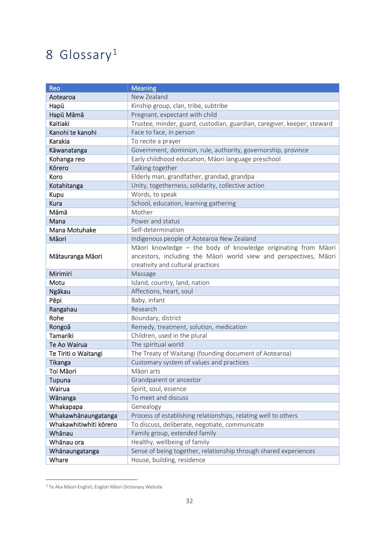### <span id="page-35-0"></span>8 Glossary[1](#page-35-1)

| Reo                    | <b>Meaning</b>                                                          |
|------------------------|-------------------------------------------------------------------------|
| Aotearoa               | New Zealand                                                             |
| Hapū                   | Kinship group, clan, tribe, subtribe                                    |
| Hapū Māmā              | Pregnant, expectant with child                                          |
| Kaitiaki               | Trustee, minder, guard, custodian, guardian, caregiver, keeper, steward |
| Kanohi te kanohi       | Face to face, in person                                                 |
| Karakia                | To recite a prayer                                                      |
| Kāwanatanga            | Government, dominion, rule, authority, governorship, province           |
| Kohanga reo            | Early childhood education, Māori language preschool                     |
| Körero                 | Talking together                                                        |
| Koro                   | Elderly man, grandfather, grandad, grandpa                              |
| Kotahitanga            | Unity, togetherness, solidarity, collective action                      |
| Kupu                   | Words, to speak                                                         |
| <b>Kura</b>            | School, education, learning gathering                                   |
| Māmā                   | Mother                                                                  |
| Mana                   | Power and status                                                        |
| Mana Motuhake          | Self-determination                                                      |
| Māori                  | Indigenous people of Aotearoa New Zealand                               |
|                        | Māori knowledge - the body of knowledge originating from Māori          |
| Mātauranga Māori       | ancestors, including the Māori world view and perspectives, Māori       |
|                        | creativity and cultural practices                                       |
| Mirimiri               | Massage                                                                 |
| Motu                   | Island, country, land, nation                                           |
| Ngākau                 | Affections, heart, soul                                                 |
| Pēpi                   | Baby, infant                                                            |
| Rangahau               | Research                                                                |
| Rohe                   | Boundary, district                                                      |
| Rongoā                 | Remedy, treatment, solution, medication                                 |
| Tamariki               | Children, used in the plural                                            |
| Te Ao Wairua           | The spiritual world                                                     |
| Te Tiriti o Waitangi   | The Treaty of Waitangi (founding document of Aotearoa)                  |
| Tikanga                | Customary system of values and practices                                |
| Toi Māori              | Māori arts                                                              |
| Tupuna                 | Grandparent or ancestor                                                 |
| Wairua                 | Spirit, soul, essence                                                   |
| Wānanga                | To meet and discuss                                                     |
| Whakapapa              | Genealogy                                                               |
| Whakawhānaungatanga    | Process of establishing relationships, relating well to others          |
| Whakawhitiwhiti korero | To discuss, deliberate, negotiate, communicate                          |
| Whānau                 | Family group, extended family                                           |
| Whānau ora             | Healthy, wellbeing of family                                            |
| Whānaungatanga         | Sense of being together, relationship through shared experiences        |
| Whare                  | House, building, residence                                              |

<span id="page-35-1"></span> $1$  Te Aka Māori-English; English Māori Dictionary Website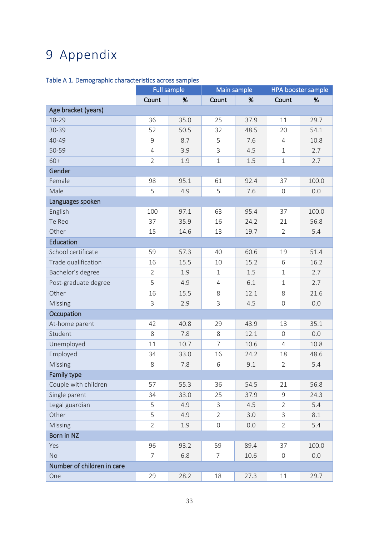### <span id="page-36-0"></span>9 Appendix

#### Table A 1. Demographic characteristics across samples

|                            | <b>Full sample</b> |      | Main sample         |      | <b>HPA</b> booster sample |       |
|----------------------------|--------------------|------|---------------------|------|---------------------------|-------|
|                            | Count              | %    | Count               | %    | Count                     | %     |
| Age bracket (years)        |                    |      |                     |      |                           |       |
| 18-29                      | 36                 | 35.0 | 25                  | 37.9 | 11                        | 29.7  |
| 30-39                      | 52                 | 50.5 | 32                  | 48.5 | 20                        | 54.1  |
| 40-49                      | 9                  | 8.7  | 5                   | 7.6  | $\overline{4}$            | 10.8  |
| 50-59                      | $\overline{4}$     | 3.9  | 3                   | 4.5  | $\mathbf 1$               | 2.7   |
| $60+$                      | $\overline{2}$     | 1.9  | $\mathbf 1$         | 1.5  | $\mathbf 1$               | 2.7   |
| Gender                     |                    |      |                     |      |                           |       |
| Female                     | 98                 | 95.1 | 61                  | 92.4 | 37                        | 100.0 |
| Male                       | 5                  | 4.9  | 5                   | 7.6  | $\overline{0}$            | 0.0   |
| Languages spoken           |                    |      |                     |      |                           |       |
| English                    | 100                | 97.1 | 63                  | 95.4 | 37                        | 100.0 |
| Te Reo                     | 37                 | 35.9 | 16                  | 24.2 | 21                        | 56.8  |
| Other                      | 15                 | 14.6 | 13                  | 19.7 | $\overline{2}$            | 5.4   |
| <b>Education</b>           |                    |      |                     |      |                           |       |
| School certificate         | 59                 | 57.3 | 40                  | 60.6 | 19                        | 51.4  |
| Trade qualification        | 16                 | 15.5 | 10                  | 15.2 | 6                         | 16.2  |
| Bachelor's degree          | $\overline{2}$     | 1.9  | $\mathbf 1$         | 1.5  | $\mathbf 1$               | 2.7   |
| Post-graduate degree       | 5                  | 4.9  | $\overline{4}$      | 6.1  | $\mathbf 1$               | 2.7   |
| Other                      | 16                 | 15.5 | 8                   | 12.1 | 8                         | 21.6  |
| Missing                    | 3                  | 2.9  | 3                   | 4.5  | $\mathsf{O}\xspace$       | 0.0   |
| Occupation                 |                    |      |                     |      |                           |       |
| At-home parent             | 42                 | 40.8 | 29                  | 43.9 | 13                        | 35.1  |
| Student                    | 8                  | 7.8  | 8                   | 12.1 | $\mathbf 0$               | 0.0   |
| Unemployed                 | 11                 | 10.7 | $\overline{7}$      | 10.6 | 4                         | 10.8  |
| Employed                   | 34                 | 33.0 | 16                  | 24.2 | 18                        | 48.6  |
| Missing                    | 8                  | 7.8  | 6                   | 9.1  | $\overline{2}$            | 5.4   |
| Family type                |                    |      |                     |      |                           |       |
| Couple with children       | 57                 | 55.3 | 36                  | 54.5 | 21                        | 56.8  |
| Single parent              | 34                 | 33.0 | 25                  | 37.9 | 9                         | 24.3  |
| Legal guardian             | 5                  | 4.9  | 3                   | 4.5  | $\overline{2}$            | 5.4   |
| Other                      | 5                  | 4.9  | $\overline{2}$      | 3.0  | $\mathsf{3}$              | 8.1   |
| Missing                    | $\overline{2}$     | 1.9  | $\mathsf{O}\xspace$ | 0.0  | $\overline{2}$            | 5.4   |
| Born in NZ                 |                    |      |                     |      |                           |       |
| Yes                        | 96                 | 93.2 | 59                  | 89.4 | 37                        | 100.0 |
| <b>No</b>                  | $\overline{7}$     | 6.8  | 7                   | 10.6 | $\overline{0}$            | 0.0   |
| Number of children in care |                    |      |                     |      |                           |       |
| One                        | 29                 | 28.2 | 18                  | 27.3 | 11                        | 29.7  |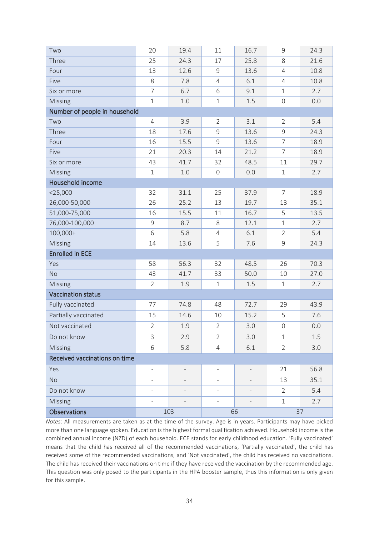| Two                           | 20                       | 19.4                     | 11                       | 16.7                     | 9              | 24.3 |
|-------------------------------|--------------------------|--------------------------|--------------------------|--------------------------|----------------|------|
| Three                         | 25                       | 24.3                     | 17                       | 25.8                     | 8              | 21.6 |
| Four                          | 13                       | 12.6                     | $\mathsf 9$              | 13.6                     | $\overline{4}$ | 10.8 |
| Five                          | 8                        | 7.8                      | $\overline{4}$           | 6.1                      | $\overline{4}$ | 10.8 |
| Six or more                   | $\overline{7}$           | 6.7                      | 6                        | 9.1                      | $\mathbf 1$    | 2.7  |
| Missing                       | $\mathbf{1}$             | 1.0                      | $\mathbf 1$              | 1.5                      | $\mathsf{O}$   | 0.0  |
| Number of people in household |                          |                          |                          |                          |                |      |
| Two                           | 4                        | 3.9                      | $\overline{2}$           | 3.1                      | $\overline{2}$ | 5.4  |
| Three                         | 18                       | 17.6                     | $\overline{9}$           | 13.6                     | 9              | 24.3 |
| Four                          | 16                       | 15.5                     | $\overline{9}$           | 13.6                     | $\overline{7}$ | 18.9 |
| Five                          | 21                       | 20.3                     | 14                       | 21.2                     | 7              | 18.9 |
| Six or more                   | 43                       | 41.7                     | 32                       | 48.5                     | 11             | 29.7 |
| Missing                       | $\mathbf 1$              | 1.0                      | $\mathsf{O}\xspace$      | 0.0                      | $\mathbf 1$    | 2.7  |
| Household income              |                          |                          |                          |                          |                |      |
| $<$ 25,000                    | 32                       | 31.1                     | 25                       | 37.9                     | $\overline{7}$ | 18.9 |
| 26,000-50,000                 | 26                       | 25.2                     | 13                       | 19.7                     | 13             | 35.1 |
| 51,000-75,000                 | 16                       | 15.5                     | 11                       | 16.7                     | 5              | 13.5 |
| 76,000-100,000                | 9                        | 8.7                      | 8                        | 12.1                     | $\mathbf 1$    | 2.7  |
| 100,000+                      | 6                        | 5.8                      | $\overline{4}$           | 6.1                      | $\overline{2}$ | 5.4  |
| Missing                       | 14                       | 13.6                     | 5                        | 7.6                      | $\mathsf 9$    | 24.3 |
| <b>Enrolled in ECE</b>        |                          |                          |                          |                          |                |      |
| Yes                           | 58                       | 56.3                     | 32                       | 48.5                     | 26             | 70.3 |
| <b>No</b>                     | 43                       | 41.7                     | 33                       | 50.0                     | 10             | 27.0 |
| Missing                       | $\overline{2}$           | 1.9                      | $\mathbf 1$              | $1.5\,$                  | $\mathbf 1$    | 2.7  |
| <b>Vaccination status</b>     |                          |                          |                          |                          |                |      |
| Fully vaccinated              | 77                       | 74.8                     | 48                       | 72.7                     | 29             | 43.9 |
| Partially vaccinated          | 15                       | 14.6                     | 10                       | 15.2                     | 5              | 7.6  |
| Not vaccinated                | $\overline{2}$           | 1.9                      | $\overline{2}$           | 3.0                      | $\mathbf 0$    | 0.0  |
| Do not know                   | $\mathsf{3}$             | 2.9                      | $\overline{2}$           | 3.0                      | $\mathbf{1}$   | 1.5  |
| Missing                       | 6                        | 5.8                      | $\overline{4}$           | 6.1                      | $\overline{2}$ | 3.0  |
| Received vaccinations on time |                          |                          |                          |                          |                |      |
| Yes                           | $\bar{\phantom{a}}$      | $\qquad \qquad -$        | $\overline{\phantom{a}}$ | $\overline{\phantom{0}}$ | 21             | 56.8 |
| <b>No</b>                     |                          |                          |                          |                          | 13             | 35.1 |
| Do not know                   |                          | $\overline{\phantom{0}}$ | $\overline{\phantom{0}}$ | $\overline{a}$           | $\overline{2}$ | 5.4  |
| Missing                       | $\overline{\phantom{a}}$ | $\qquad \qquad -$        | $\overline{\phantom{a}}$ | $\overline{\phantom{0}}$ | $\mathbf 1$    | 2.7  |
| <b>Observations</b>           |                          | 103                      |                          | 66                       |                | 37   |
|                               |                          |                          |                          |                          |                |      |

*Notes*: All measurements are taken as at the time of the survey. Age is in years. Participants may have picked more than one language spoken. Education is the highest formal qualification achieved. Household income is the combined annual income (NZD) of each household. ECE stands for early childhood education. 'Fully vaccinated' means that the child has received all of the recommended vaccinations, 'Partially vaccinated', the child has received some of the recommended vaccinations, and 'Not vaccinated', the child has received no vaccinations. The child has received their vaccinations on time if they have received the vaccination by the recommended age. This question was only posed to the participants in the HPA booster sample, thus this information is only given for this sample.